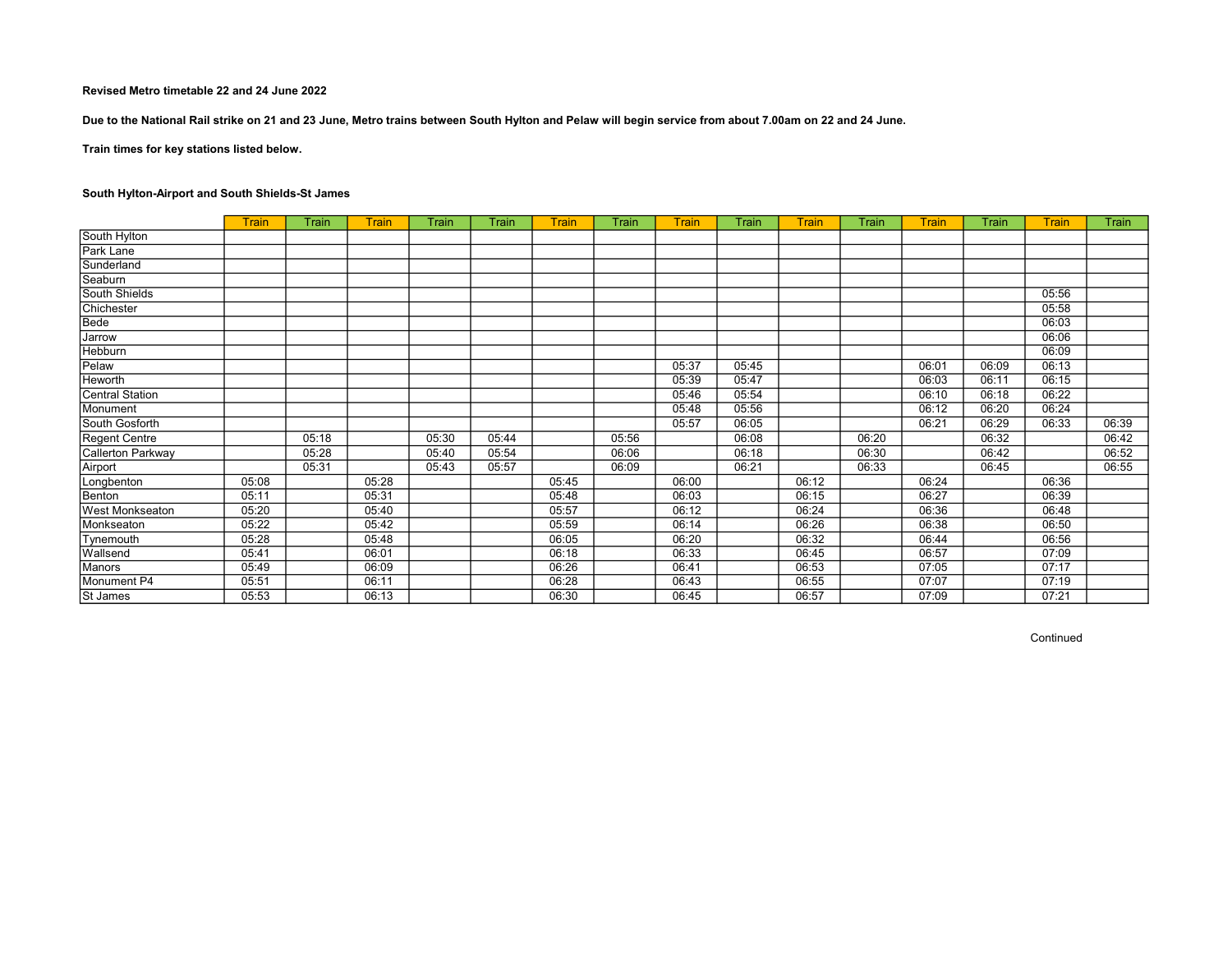Due to the National Rail strike on 21 and 23 June, Metro trains between South Hylton and Pelaw will begin service from about 7.00am on 22 and 24 June.

Train times for key stations listed below.

# South Hylton-Airport and South Shields-St James

|                        | <b>Train</b> | Train | Train | <b>Train</b> | Train | <b>Train</b> | Train | Train | Train | Train | Train | Train | Train | <b>Train</b> | Train |
|------------------------|--------------|-------|-------|--------------|-------|--------------|-------|-------|-------|-------|-------|-------|-------|--------------|-------|
| South Hylton           |              |       |       |              |       |              |       |       |       |       |       |       |       |              |       |
| Park Lane              |              |       |       |              |       |              |       |       |       |       |       |       |       |              |       |
| Sunderland             |              |       |       |              |       |              |       |       |       |       |       |       |       |              |       |
| Seaburn                |              |       |       |              |       |              |       |       |       |       |       |       |       |              |       |
| South Shields          |              |       |       |              |       |              |       |       |       |       |       |       |       | 05:56        |       |
| Chichester             |              |       |       |              |       |              |       |       |       |       |       |       |       | 05:58        |       |
| Bede                   |              |       |       |              |       |              |       |       |       |       |       |       |       | 06:03        |       |
| Jarrow                 |              |       |       |              |       |              |       |       |       |       |       |       |       | 06:06        |       |
| Hebburn                |              |       |       |              |       |              |       |       |       |       |       |       |       | 06:09        |       |
| Pelaw                  |              |       |       |              |       |              |       | 05:37 | 05:45 |       |       | 06:01 | 06:09 | 06:13        |       |
| <b>Heworth</b>         |              |       |       |              |       |              |       | 05:39 | 05:47 |       |       | 06:03 | 06:11 | 06:15        |       |
| Central Station        |              |       |       |              |       |              |       | 05:46 | 05:54 |       |       | 06:10 | 06:18 | 06:22        |       |
| Monument               |              |       |       |              |       |              |       | 05:48 | 05:56 |       |       | 06:12 | 06:20 | 06:24        |       |
| South Gosforth         |              |       |       |              |       |              |       | 05:57 | 06:05 |       |       | 06:21 | 06:29 | 06:33        | 06:39 |
| Regent Centre          |              | 05:18 |       | 05:30        | 05:44 |              | 05:56 |       | 06:08 |       | 06:20 |       | 06:32 |              | 06:42 |
| Callerton Parkway      |              | 05:28 |       | 05:40        | 05:54 |              | 06:06 |       | 06:18 |       | 06:30 |       | 06:42 |              | 06:52 |
| Airport                |              | 05:31 |       | 05:43        | 05:57 |              | 06:09 |       | 06:21 |       | 06:33 |       | 06:45 |              | 06:55 |
| Longbenton             | 05:08        |       | 05:28 |              |       | 05:45        |       | 06:00 |       | 06:12 |       | 06:24 |       | 06:36        |       |
| Benton                 | 05:11        |       | 05:31 |              |       | 05:48        |       | 06:03 |       | 06:15 |       | 06:27 |       | 06:39        |       |
| <b>West Monkseaton</b> | 05:20        |       | 05:40 |              |       | 05:57        |       | 06:12 |       | 06:24 |       | 06:36 |       | 06:48        |       |
| Monkseaton             | 05:22        |       | 05:42 |              |       | 05:59        |       | 06:14 |       | 06:26 |       | 06:38 |       | 06:50        |       |
| <b>Tynemouth</b>       | 05:28        |       | 05:48 |              |       | 06:05        |       | 06:20 |       | 06:32 |       | 06:44 |       | 06:56        |       |
| Wallsend               | 05:41        |       | 06:01 |              |       | 06:18        |       | 06:33 |       | 06:45 |       | 06:57 |       | 07:09        |       |
| Manors                 | 05:49        |       | 06:09 |              |       | 06:26        |       | 06:41 |       | 06:53 |       | 07:05 |       | 07:17        |       |
| Monument P4            | 05:51        |       | 06:11 |              |       | 06:28        |       | 06:43 |       | 06:55 |       | 07:07 |       | 07:19        |       |
| St James               | 05:53        |       | 06:13 |              |       | 06:30        |       | 06:45 |       | 06:57 |       | 07:09 |       | 07:21        |       |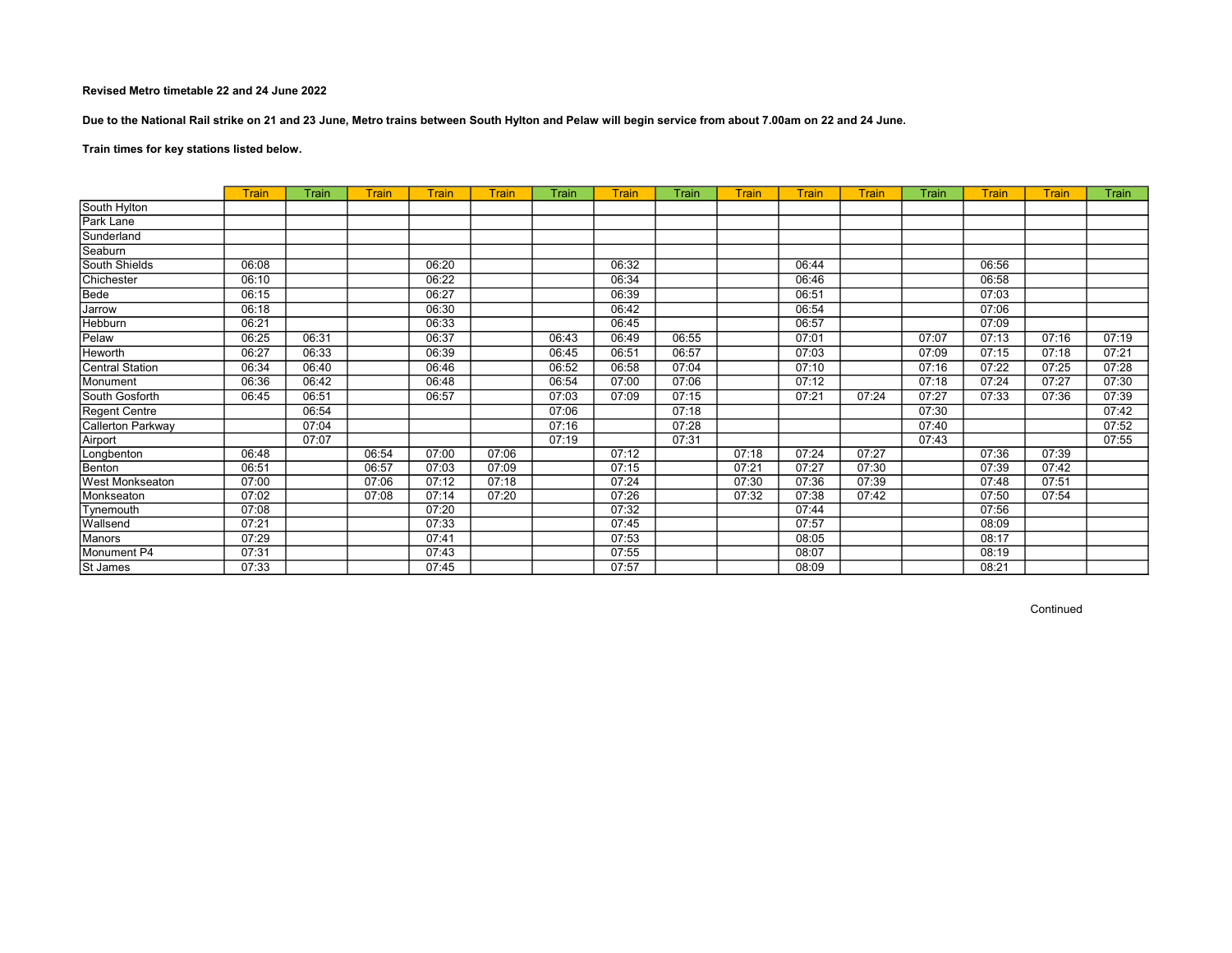Due to the National Rail strike on 21 and 23 June, Metro trains between South Hylton and Pelaw will begin service from about 7.00am on 22 and 24 June.

Train times for key stations listed below.

|                        | <b>Train</b> | Train | <b>Train</b> | <b>Train</b> | Train | Train | Train | Train | Train | <b>Train</b> | <b>Train</b> | Train | Train | <b>Train</b> | Train |
|------------------------|--------------|-------|--------------|--------------|-------|-------|-------|-------|-------|--------------|--------------|-------|-------|--------------|-------|
| South Hylton           |              |       |              |              |       |       |       |       |       |              |              |       |       |              |       |
| Park Lane              |              |       |              |              |       |       |       |       |       |              |              |       |       |              |       |
| Sunderland             |              |       |              |              |       |       |       |       |       |              |              |       |       |              |       |
| Seaburn                |              |       |              |              |       |       |       |       |       |              |              |       |       |              |       |
| South Shields          | 06:08        |       |              | 06:20        |       |       | 06:32 |       |       | 06:44        |              |       | 06:56 |              |       |
| Chichester             | 06:10        |       |              | 06:22        |       |       | 06:34 |       |       | 06:46        |              |       | 06:58 |              |       |
| Bede                   | 06:15        |       |              | 06:27        |       |       | 06:39 |       |       | 06:51        |              |       | 07:03 |              |       |
| Jarrow                 | 06:18        |       |              | 06:30        |       |       | 06:42 |       |       | 06:54        |              |       | 07:06 |              |       |
| Hebburn                | 06:21        |       |              | 06:33        |       |       | 06:45 |       |       | 06:57        |              |       | 07:09 |              |       |
| Pelaw                  | 06:25        | 06:31 |              | 06:37        |       | 06:43 | 06:49 | 06:55 |       | 07:01        |              | 07:07 | 07:13 | 07:16        | 07:19 |
| Heworth                | 06:27        | 06:33 |              | 06:39        |       | 06:45 | 06:51 | 06:57 |       | 07:03        |              | 07:09 | 07:15 | 07:18        | 07:21 |
| <b>Central Station</b> | 06:34        | 06:40 |              | 06:46        |       | 06:52 | 06:58 | 07:04 |       | 07:10        |              | 07:16 | 07:22 | 07:25        | 07:28 |
| Monument               | 06:36        | 06:42 |              | 06:48        |       | 06:54 | 07:00 | 07:06 |       | 07:12        |              | 07:18 | 07:24 | 07:27        | 07:30 |
| South Gosforth         | 06:45        | 06:51 |              | 06:57        |       | 07:03 | 07:09 | 07:15 |       | 07:21        | 07:24        | 07:27 | 07:33 | 07:36        | 07:39 |
| Regent Centre          |              | 06:54 |              |              |       | 07:06 |       | 07:18 |       |              |              | 07:30 |       |              | 07:42 |
| Callerton Parkway      |              | 07:04 |              |              |       | 07:16 |       | 07:28 |       |              |              | 07:40 |       |              | 07:52 |
| Airport                |              | 07:07 |              |              |       | 07:19 |       | 07:31 |       |              |              | 07:43 |       |              | 07:55 |
| Longbenton             | 06:48        |       | 06:54        | 07:00        | 07:06 |       | 07:12 |       | 07:18 | 07:24        | 07:27        |       | 07:36 | 07:39        |       |
| Benton                 | 06:51        |       | 06:57        | 07:03        | 07:09 |       | 07:15 |       | 07:21 | 07:27        | 07:30        |       | 07:39 | 07:42        |       |
| <b>West Monkseaton</b> | 07:00        |       | 07:06        | 07:12        | 07:18 |       | 07:24 |       | 07:30 | 07:36        | 07:39        |       | 07:48 | 07:51        |       |
| Monkseaton             | 07:02        |       | 07:08        | 07:14        | 07:20 |       | 07:26 |       | 07:32 | 07:38        | 07:42        |       | 07:50 | 07:54        |       |
| Tynemouth              | 07:08        |       |              | 07:20        |       |       | 07:32 |       |       | 07:44        |              |       | 07:56 |              |       |
| Wallsend               | 07:21        |       |              | 07:33        |       |       | 07:45 |       |       | 07:57        |              |       | 08:09 |              |       |
| Manors                 | 07:29        |       |              | 07:41        |       |       | 07:53 |       |       | 08:05        |              |       | 08:17 |              |       |
| Monument P4            | 07:31        |       |              | 07:43        |       |       | 07:55 |       |       | 08:07        |              |       | 08:19 |              |       |
| St James               | 07:33        |       |              | 07:45        |       |       | 07:57 |       |       | 08:09        |              |       | 08:21 |              |       |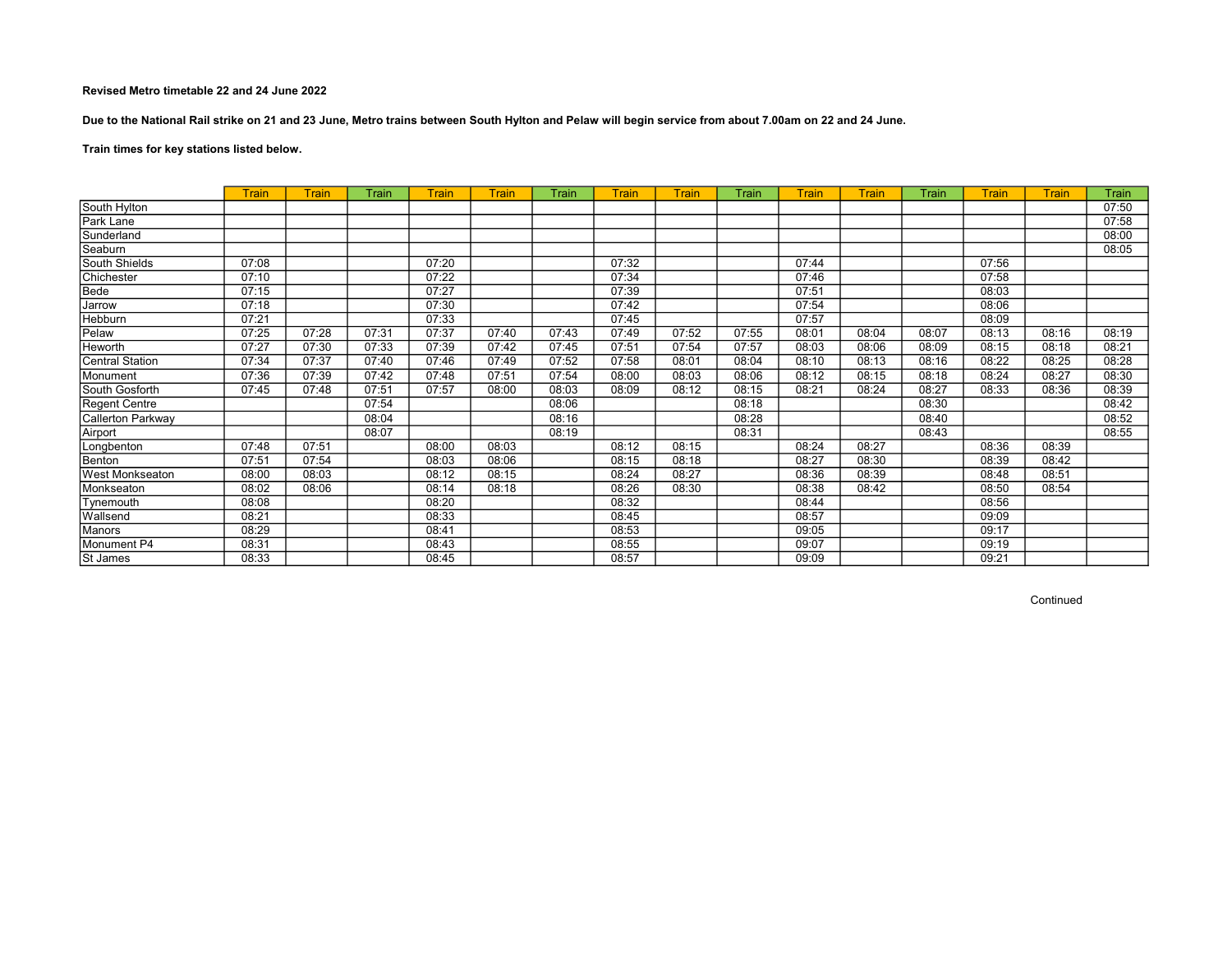Due to the National Rail strike on 21 and 23 June, Metro trains between South Hylton and Pelaw will begin service from about 7.00am on 22 and 24 June.

Train times for key stations listed below.

|                        | Train | Train | Train | Train | Train | Train | Train | Train | Train | Train | <b>Train</b> | Train | Train | Train | Train |
|------------------------|-------|-------|-------|-------|-------|-------|-------|-------|-------|-------|--------------|-------|-------|-------|-------|
| South Hylton           |       |       |       |       |       |       |       |       |       |       |              |       |       |       | 07:50 |
| Park Lane              |       |       |       |       |       |       |       |       |       |       |              |       |       |       | 07:58 |
| Sunderland             |       |       |       |       |       |       |       |       |       |       |              |       |       |       | 08:00 |
| Seaburn                |       |       |       |       |       |       |       |       |       |       |              |       |       |       | 08:05 |
| South Shields          | 07:08 |       |       | 07:20 |       |       | 07:32 |       |       | 07:44 |              |       | 07:56 |       |       |
| Chichester             | 07:10 |       |       | 07:22 |       |       | 07:34 |       |       | 07:46 |              |       | 07:58 |       |       |
| Bede                   | 07:15 |       |       | 07:27 |       |       | 07:39 |       |       | 07:51 |              |       | 08:03 |       |       |
| Jarrow                 | 07:18 |       |       | 07:30 |       |       | 07:42 |       |       | 07:54 |              |       | 08:06 |       |       |
| Hebburn                | 07:21 |       |       | 07:33 |       |       | 07:45 |       |       | 07:57 |              |       | 08:09 |       |       |
| Pelaw                  | 07:25 | 07:28 | 07:31 | 07:37 | 07:40 | 07:43 | 07:49 | 07:52 | 07:55 | 08:01 | 08:04        | 08:07 | 08:13 | 08:16 | 08:19 |
| Heworth                | 07:27 | 07:30 | 07:33 | 07:39 | 07:42 | 07:45 | 07:51 | 07:54 | 07:57 | 08:03 | 08:06        | 08:09 | 08:15 | 08:18 | 08:21 |
| <b>Central Station</b> | 07:34 | 07:37 | 07:40 | 07:46 | 07:49 | 07:52 | 07:58 | 08:01 | 08:04 | 08:10 | 08:13        | 08:16 | 08:22 | 08:25 | 08:28 |
| Monument               | 07:36 | 07:39 | 07:42 | 07:48 | 07:51 | 07:54 | 08:00 | 08:03 | 08:06 | 08:12 | 08:15        | 08:18 | 08:24 | 08:27 | 08:30 |
| South Gosforth         | 07:45 | 07:48 | 07:51 | 07:57 | 08:00 | 08:03 | 08:09 | 08:12 | 08:15 | 08:21 | 08:24        | 08:27 | 08:33 | 08:36 | 08:39 |
| Regent Centre          |       |       | 07:54 |       |       | 08:06 |       |       | 08:18 |       |              | 08:30 |       |       | 08:42 |
| Callerton Parkway      |       |       | 08:04 |       |       | 08:16 |       |       | 08:28 |       |              | 08:40 |       |       | 08:52 |
| Airport                |       |       | 08:07 |       |       | 08:19 |       |       | 08:31 |       |              | 08:43 |       |       | 08:55 |
| Longbenton             | 07:48 | 07:51 |       | 08:00 | 08:03 |       | 08:12 | 08:15 |       | 08:24 | 08:27        |       | 08:36 | 08:39 |       |
| Benton                 | 07:51 | 07:54 |       | 08:03 | 08:06 |       | 08:15 | 08:18 |       | 08:27 | 08:30        |       | 08:39 | 08:42 |       |
| <b>West Monkseaton</b> | 08:00 | 08:03 |       | 08:12 | 08:15 |       | 08:24 | 08:27 |       | 08:36 | 08:39        |       | 08:48 | 08:51 |       |
| Monkseaton             | 08:02 | 08:06 |       | 08:14 | 08:18 |       | 08:26 | 08:30 |       | 08:38 | 08:42        |       | 08:50 | 08:54 |       |
| Tynemouth              | 08:08 |       |       | 08:20 |       |       | 08:32 |       |       | 08:44 |              |       | 08:56 |       |       |
| Wallsend               | 08:21 |       |       | 08:33 |       |       | 08:45 |       |       | 08:57 |              |       | 09:09 |       |       |
| Manors                 | 08:29 |       |       | 08:41 |       |       | 08:53 |       |       | 09:05 |              |       | 09:17 |       |       |
| Monument P4            | 08:31 |       |       | 08:43 |       |       | 08:55 |       |       | 09:07 |              |       | 09:19 |       |       |
| St James               | 08:33 |       |       | 08:45 |       |       | 08:57 |       |       | 09:09 |              |       | 09:21 |       |       |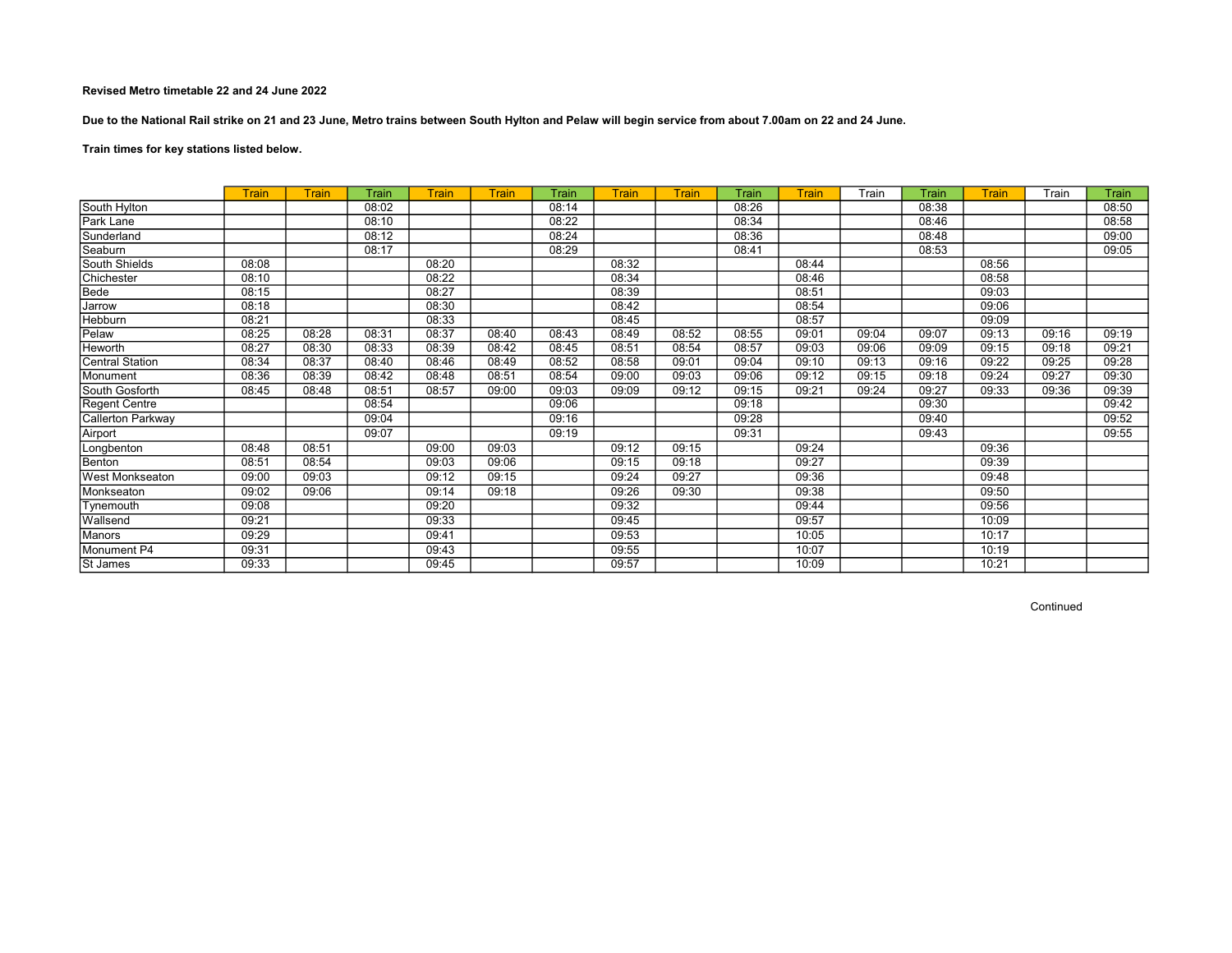Due to the National Rail strike on 21 and 23 June, Metro trains between South Hylton and Pelaw will begin service from about 7.00am on 22 and 24 June.

# Train times for key stations listed below.

|                          | <b>Train</b> | <b>Train</b> | Train | <b>Train</b> | <b>Train</b> | Train | <b>Train</b> | Train | Train | Train | Train | Train | Train | Train | Train |
|--------------------------|--------------|--------------|-------|--------------|--------------|-------|--------------|-------|-------|-------|-------|-------|-------|-------|-------|
| South Hylton             |              |              | 08:02 |              |              | 08:14 |              |       | 08:26 |       |       | 08:38 |       |       | 08:50 |
| Park Lane                |              |              | 08:10 |              |              | 08:22 |              |       | 08:34 |       |       | 08:46 |       |       | 08:58 |
| Sunderland               |              |              | 08:12 |              |              | 08:24 |              |       | 08:36 |       |       | 08:48 |       |       | 09:00 |
| Seaburn                  |              |              | 08:17 |              |              | 08:29 |              |       | 08:41 |       |       | 08:53 |       |       | 09:05 |
| South Shields            | 08:08        |              |       | 08:20        |              |       | 08:32        |       |       | 08:44 |       |       | 08:56 |       |       |
| Chichester               | 08:10        |              |       | 08:22        |              |       | 08:34        |       |       | 08:46 |       |       | 08:58 |       |       |
| Bede                     | 08:15        |              |       | 08:27        |              |       | 08:39        |       |       | 08:51 |       |       | 09:03 |       |       |
| Jarrow                   | 08:18        |              |       | 08:30        |              |       | 08:42        |       |       | 08:54 |       |       | 09:06 |       |       |
| Hebburn                  | 08:21        |              |       | 08:33        |              |       | 08:45        |       |       | 08:57 |       |       | 09:09 |       |       |
| Pelaw                    | 08:25        | 08:28        | 08:31 | 08:37        | 08:40        | 08:43 | 08:49        | 08:52 | 08:55 | 09:01 | 09:04 | 09:07 | 09:13 | 09:16 | 09:19 |
| Heworth                  | 08:27        | 08:30        | 08:33 | 08:39        | 08:42        | 08:45 | 08:51        | 08:54 | 08:57 | 09:03 | 09:06 | 09:09 | 09:15 | 09:18 | 09:21 |
| <b>Central Station</b>   | 08:34        | 08:37        | 08:40 | 08:46        | 08:49        | 08:52 | 08:58        | 09:01 | 09:04 | 09:10 | 09:13 | 09:16 | 09:22 | 09:25 | 09:28 |
| Monument                 | 08:36        | 08:39        | 08:42 | 08:48        | 08:51        | 08:54 | 09:00        | 09:03 | 09:06 | 09:12 | 09:15 | 09:18 | 09:24 | 09:27 | 09:30 |
| South Gosforth           | 08:45        | 08:48        | 08:51 | 08:57        | 09:00        | 09:03 | 09:09        | 09:12 | 09:15 | 09:21 | 09:24 | 09:27 | 09:33 | 09:36 | 09:39 |
| Regent Centre            |              |              | 08:54 |              |              | 09:06 |              |       | 09:18 |       |       | 09:30 |       |       | 09:42 |
| <b>Callerton Parkway</b> |              |              | 09:04 |              |              | 09:16 |              |       | 09:28 |       |       | 09:40 |       |       | 09:52 |
| Airport                  |              |              | 09:07 |              |              | 09:19 |              |       | 09:31 |       |       | 09:43 |       |       | 09:55 |
| Longbenton               | 08:48        | 08:51        |       | 09:00        | 09:03        |       | 09:12        | 09:15 |       | 09:24 |       |       | 09:36 |       |       |
| Benton                   | 08:51        | 08:54        |       | 09:03        | 09:06        |       | 09:15        | 09:18 |       | 09:27 |       |       | 09:39 |       |       |
| <b>West Monkseaton</b>   | 09:00        | 09:03        |       | 09:12        | 09:15        |       | 09:24        | 09:27 |       | 09:36 |       |       | 09:48 |       |       |
| Monkseaton               | 09:02        | 09:06        |       | 09:14        | 09:18        |       | 09:26        | 09:30 |       | 09:38 |       |       | 09:50 |       |       |
| Tynemouth                | 09:08        |              |       | 09:20        |              |       | 09:32        |       |       | 09:44 |       |       | 09:56 |       |       |
| Wallsend                 | 09:21        |              |       | 09:33        |              |       | 09:45        |       |       | 09:57 |       |       | 10:09 |       |       |
| Manors                   | 09:29        |              |       | 09:41        |              |       | 09:53        |       |       | 10:05 |       |       | 10:17 |       |       |
| Monument P4              | 09:31        |              |       | 09:43        |              |       | 09:55        |       |       | 10:07 |       |       | 10:19 |       |       |
| St James                 | 09:33        |              |       | 09:45        |              |       | 09:57        |       |       | 10:09 |       |       | 10:21 |       |       |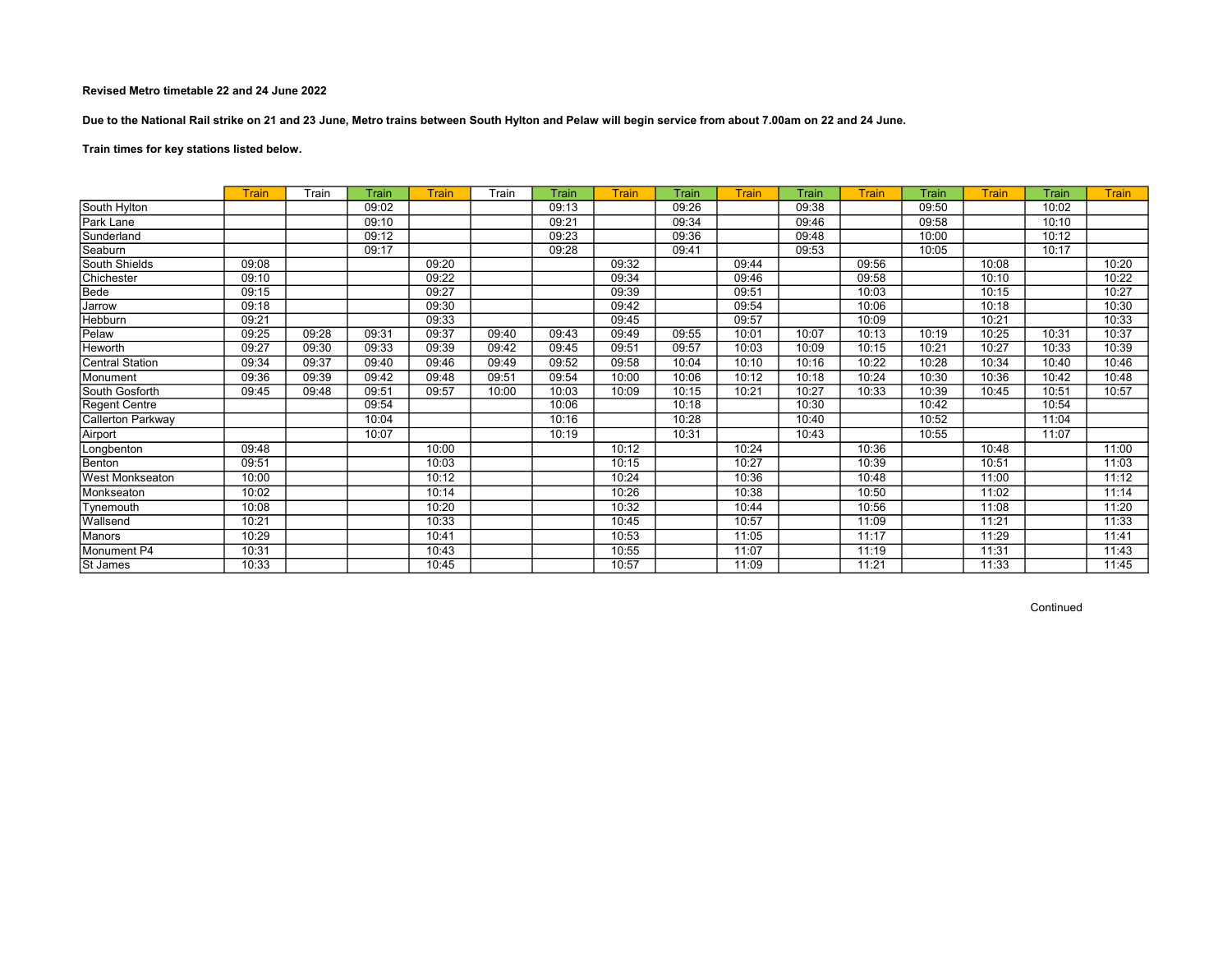Due to the National Rail strike on 21 and 23 June, Metro trains between South Hylton and Pelaw will begin service from about 7.00am on 22 and 24 June.

# Train times for key stations listed below.

|                        | <b>Train</b> | Train | Train | <b>Train</b> | Train | Train | Train | Train | <b>Train</b> | Train | <b>Train</b> | Train | Train | Train | <b>Train</b> |
|------------------------|--------------|-------|-------|--------------|-------|-------|-------|-------|--------------|-------|--------------|-------|-------|-------|--------------|
| South Hylton           |              |       | 09:02 |              |       | 09:13 |       | 09:26 |              | 09:38 |              | 09:50 |       | 10:02 |              |
| Park Lane              |              |       | 09:10 |              |       | 09:21 |       | 09:34 |              | 09:46 |              | 09:58 |       | 10:10 |              |
| Sunderland             |              |       | 09:12 |              |       | 09:23 |       | 09:36 |              | 09:48 |              | 10:00 |       | 10:12 |              |
| Seaburn                |              |       | 09:17 |              |       | 09:28 |       | 09:41 |              | 09:53 |              | 10:05 |       | 10:17 |              |
| South Shields          | 09:08        |       |       | 09:20        |       |       | 09:32 |       | 09:44        |       | 09:56        |       | 10:08 |       | 10:20        |
| Chichester             | 09:10        |       |       | 09:22        |       |       | 09:34 |       | 09:46        |       | 09:58        |       | 10:10 |       | 10:22        |
| Bede                   | 09:15        |       |       | 09:27        |       |       | 09:39 |       | 09:51        |       | 10:03        |       | 10:15 |       | 10:27        |
| Jarrow                 | 09:18        |       |       | 09:30        |       |       | 09:42 |       | 09:54        |       | 10:06        |       | 10:18 |       | 10:30        |
| Hebburn                | 09:21        |       |       | 09:33        |       |       | 09:45 |       | 09:57        |       | 10:09        |       | 10:21 |       | 10:33        |
| Pelaw                  | 09:25        | 09:28 | 09:31 | 09:37        | 09:40 | 09:43 | 09:49 | 09:55 | 10:01        | 10:07 | 10:13        | 10:19 | 10:25 | 10:31 | 10:37        |
| Heworth                | 09:27        | 09:30 | 09:33 | 09:39        | 09:42 | 09:45 | 09:51 | 09:57 | 10:03        | 10:09 | 10:15        | 10:21 | 10:27 | 10:33 | 10:39        |
| <b>Central Station</b> | 09:34        | 09:37 | 09:40 | 09:46        | 09:49 | 09:52 | 09:58 | 10:04 | 10:10        | 10:16 | 10:22        | 10:28 | 10:34 | 10:40 | 10:46        |
| Monument               | 09:36        | 09:39 | 09:42 | 09:48        | 09:51 | 09:54 | 10:00 | 10:06 | 10:12        | 10:18 | 10:24        | 10:30 | 10:36 | 10:42 | 10:48        |
| South Gosforth         | 09:45        | 09:48 | 09:51 | 09:57        | 10:00 | 10:03 | 10:09 | 10:15 | 10:21        | 10:27 | 10:33        | 10:39 | 10:45 | 10:51 | 10:57        |
| <b>Regent Centre</b>   |              |       | 09:54 |              |       | 10:06 |       | 10:18 |              | 10:30 |              | 10:42 |       | 10:54 |              |
| Callerton Parkway      |              |       | 10:04 |              |       | 10:16 |       | 10:28 |              | 10:40 |              | 10:52 |       | 11:04 |              |
| Airport                |              |       | 10:07 |              |       | 10:19 |       | 10:31 |              | 10:43 |              | 10:55 |       | 11:07 |              |
| Longbenton             | 09:48        |       |       | 10:00        |       |       | 10:12 |       | 10:24        |       | 10:36        |       | 10:48 |       | 11:00        |
| Benton                 | 09:51        |       |       | 10:03        |       |       | 10:15 |       | 10:27        |       | 10:39        |       | 10:51 |       | 11:03        |
| <b>West Monkseaton</b> | 10:00        |       |       | 10:12        |       |       | 10:24 |       | 10:36        |       | 10:48        |       | 11:00 |       | 11:12        |
| Monkseaton             | 10:02        |       |       | 10:14        |       |       | 10:26 |       | 10:38        |       | 10:50        |       | 11:02 |       | 11:14        |
| Tynemouth              | 10:08        |       |       | 10:20        |       |       | 10:32 |       | 10:44        |       | 10:56        |       | 11:08 |       | 11:20        |
| Wallsend               | 10:21        |       |       | 10:33        |       |       | 10:45 |       | 10:57        |       | 11:09        |       | 11:21 |       | 11:33        |
| Manors                 | 10:29        |       |       | 10:41        |       |       | 10:53 |       | 11:05        |       | 11:17        |       | 11:29 |       | 11:41        |
| Monument P4            | 10:31        |       |       | 10:43        |       |       | 10:55 |       | 11:07        |       | 11:19        |       | 11:31 |       | 11:43        |
| St James               | 10:33        |       |       | 10:45        |       |       | 10:57 |       | 11:09        |       | 11:21        |       | 11:33 |       | 11:45        |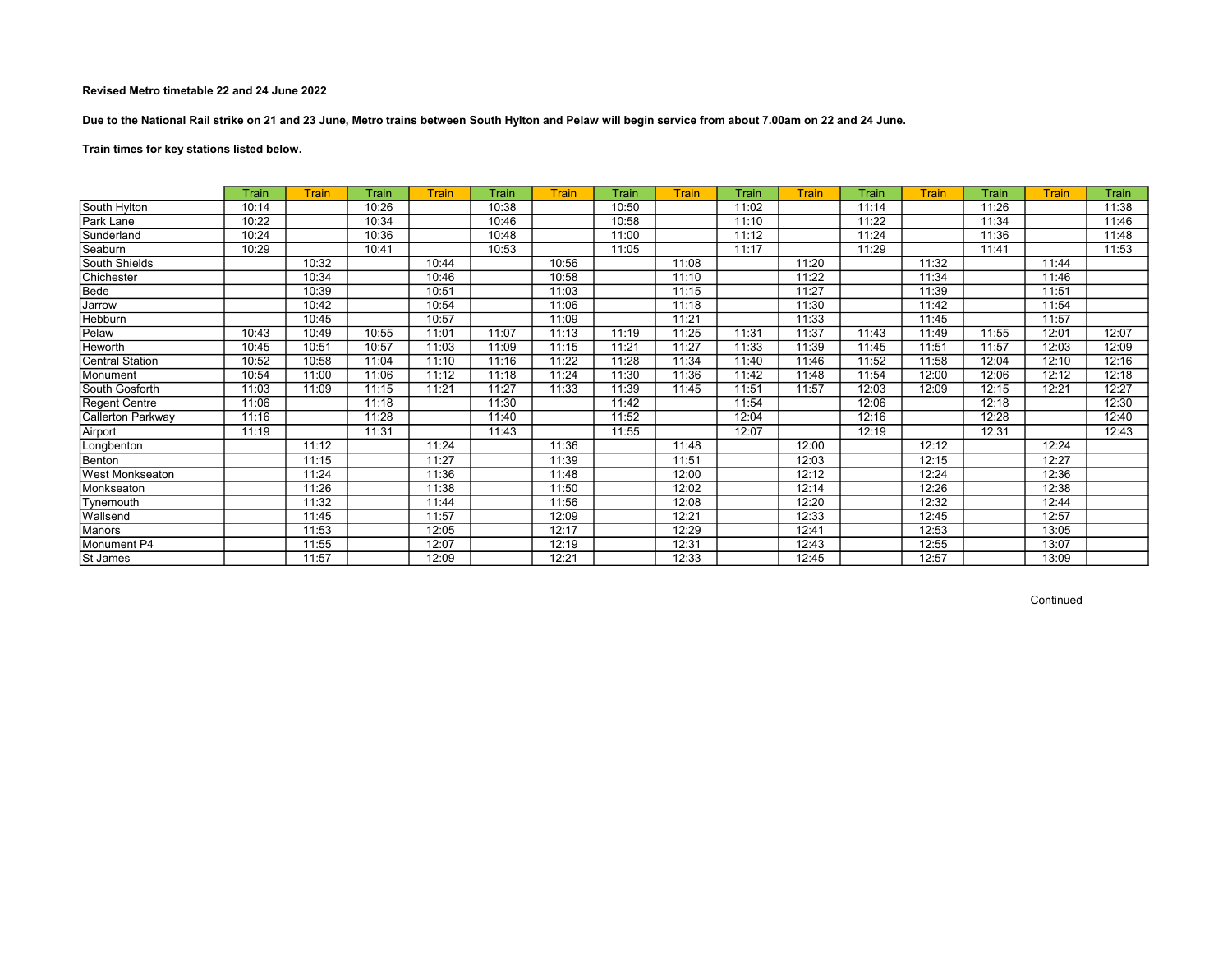Due to the National Rail strike on 21 and 23 June, Metro trains between South Hylton and Pelaw will begin service from about 7.00am on 22 and 24 June.

# Train times for key stations listed below.

|                   | Train | Train | Train | Train | Train | <b>Train</b> | Train | Train | Train | Train | Train | Train | Train | Train | Train |
|-------------------|-------|-------|-------|-------|-------|--------------|-------|-------|-------|-------|-------|-------|-------|-------|-------|
| South Hylton      | 10:14 |       | 10:26 |       | 10:38 |              | 10:50 |       | 11:02 |       | 11:14 |       | 11:26 |       | 11:38 |
| Park Lane         | 10:22 |       | 10:34 |       | 10:46 |              | 10:58 |       | 11:10 |       | 11:22 |       | 11:34 |       | 11:46 |
| Sunderland        | 10:24 |       | 10:36 |       | 10:48 |              | 11:00 |       | 11:12 |       | 11:24 |       | 11:36 |       | 11:48 |
| Seaburn           | 10:29 |       | 10:41 |       | 10:53 |              | 11:05 |       | 11:17 |       | 11:29 |       | 11:41 |       | 11:53 |
| South Shields     |       | 10:32 |       | 10:44 |       | 10:56        |       | 11:08 |       | 11:20 |       | 11:32 |       | 11:44 |       |
| Chichester        |       | 10:34 |       | 10:46 |       | 10:58        |       | 11:10 |       | 11:22 |       | 11:34 |       | 11:46 |       |
| Bede              |       | 10:39 |       | 10:51 |       | 11:03        |       | 11:15 |       | 11:27 |       | 11:39 |       | 11:51 |       |
| Jarrow            |       | 10:42 |       | 10:54 |       | 11:06        |       | 11:18 |       | 11:30 |       | 11:42 |       | 11:54 |       |
| Hebburn           |       | 10:45 |       | 10:57 |       | 11:09        |       | 11:21 |       | 11:33 |       | 11:45 |       | 11:57 |       |
| Pelaw             | 10:43 | 10:49 | 10:55 | 11:01 | 11:07 | 11:13        | 11:19 | 11:25 | 11:31 | 11:37 | 11:43 | 11:49 | 11:55 | 12:01 | 12:07 |
| Heworth           | 10:45 | 10:51 | 10:57 | 11:03 | 11:09 | 11:15        | 11:21 | 11:27 | 11:33 | 11:39 | 11:45 | 11:51 | 11:57 | 12:03 | 12:09 |
| Central Station   | 10:52 | 10:58 | 11:04 | 11:10 | 11:16 | 11:22        | 11:28 | 11:34 | 11:40 | 11:46 | 11:52 | 11:58 | 12:04 | 12:10 | 12:16 |
| Monument          | 10:54 | 11:00 | 11:06 | 11:12 | 11:18 | 11:24        | 11:30 | 11:36 | 11:42 | 11:48 | 11:54 | 12:00 | 12:06 | 12:12 | 12:18 |
| South Gosforth    | 11:03 | 11:09 | 11:15 | 11:21 | 11:27 | 11:33        | 11:39 | 11:45 | 11:51 | 11:57 | 12:03 | 12:09 | 12:15 | 12:21 | 12:27 |
| Regent Centre     | 11:06 |       | 11:18 |       | 11:30 |              | 11:42 |       | 11:54 |       | 12:06 |       | 12:18 |       | 12:30 |
| Callerton Parkway | 11:16 |       | 11:28 |       | 11:40 |              | 11:52 |       | 12:04 |       | 12:16 |       | 12:28 |       | 12:40 |
| Airport           | 11:19 |       | 11:31 |       | 11:43 |              | 11:55 |       | 12:07 |       | 12:19 |       | 12:31 |       | 12:43 |
| Longbenton        |       | 11:12 |       | 11:24 |       | 11:36        |       | 11:48 |       | 12:00 |       | 12:12 |       | 12:24 |       |
| Benton            |       | 11:15 |       | 11:27 |       | 11:39        |       | 11:51 |       | 12:03 |       | 12:15 |       | 12:27 |       |
| West Monkseaton   |       | 11:24 |       | 11:36 |       | 11:48        |       | 12:00 |       | 12:12 |       | 12:24 |       | 12:36 |       |
| Monkseaton        |       | 11:26 |       | 11:38 |       | 11:50        |       | 12:02 |       | 12:14 |       | 12:26 |       | 12:38 |       |
| Tynemouth         |       | 11:32 |       | 11:44 |       | 11:56        |       | 12:08 |       | 12:20 |       | 12:32 |       | 12:44 |       |
| Wallsend          |       | 11:45 |       | 11:57 |       | 12:09        |       | 12:21 |       | 12:33 |       | 12:45 |       | 12:57 |       |
| Manors            |       | 11:53 |       | 12:05 |       | 12:17        |       | 12:29 |       | 12:41 |       | 12:53 |       | 13:05 |       |
| Monument P4       |       | 11:55 |       | 12:07 |       | 12:19        |       | 12:31 |       | 12:43 |       | 12:55 |       | 13:07 |       |
| St James          |       | 11:57 |       | 12:09 |       | 12:21        |       | 12:33 |       | 12:45 |       | 12:57 |       | 13:09 |       |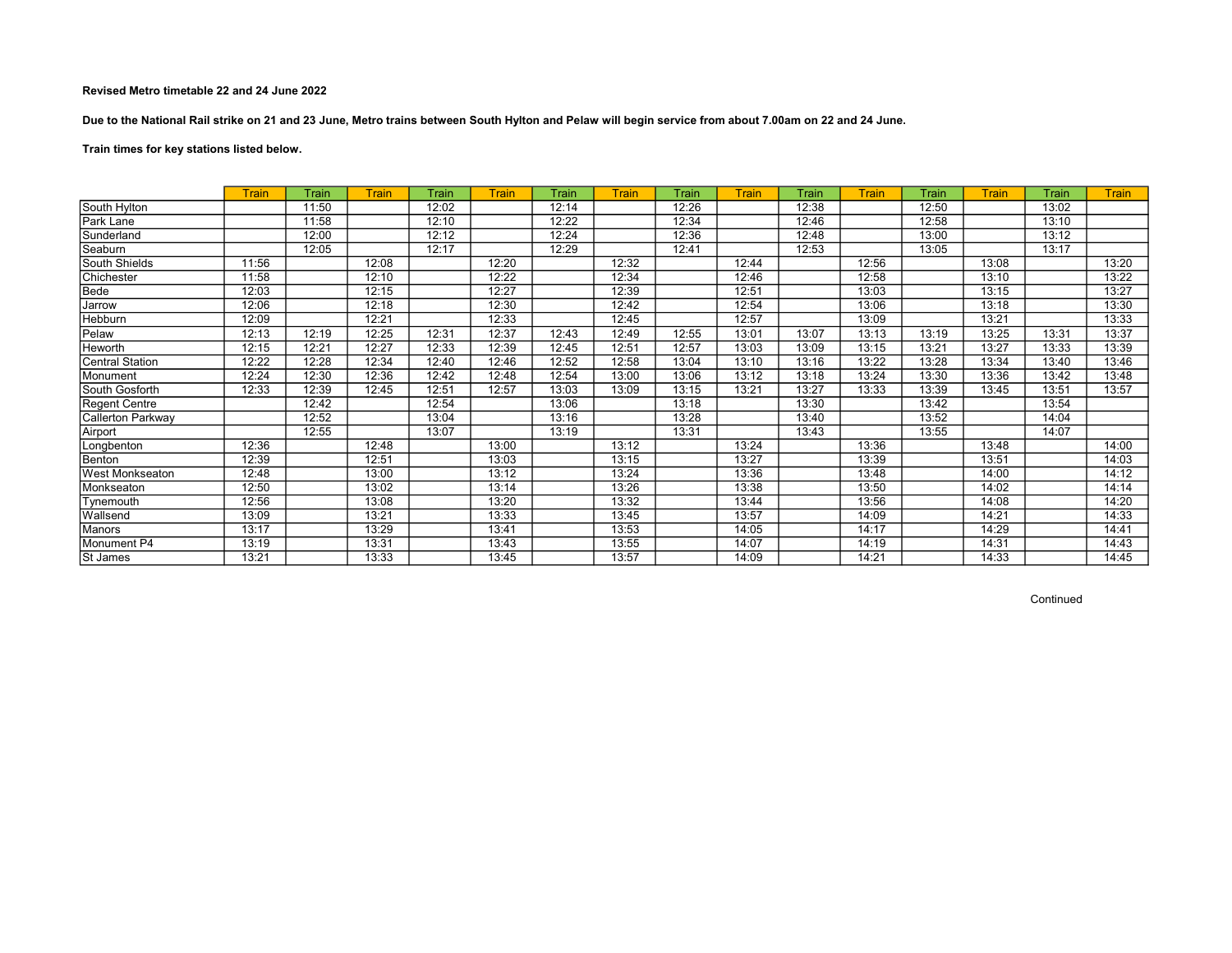Due to the National Rail strike on 21 and 23 June, Metro trains between South Hylton and Pelaw will begin service from about 7.00am on 22 and 24 June.

Train times for key stations listed below.

|                        | <b>Train</b> | Train | Train | Train | Train | Train | Train | Train | <b>Train</b> | Train | Train | Train | <b>Train</b> | Train | <b>Train</b> |
|------------------------|--------------|-------|-------|-------|-------|-------|-------|-------|--------------|-------|-------|-------|--------------|-------|--------------|
| South Hylton           |              | 11:50 |       | 12:02 |       | 12:14 |       | 12:26 |              | 12:38 |       | 12:50 |              | 13:02 |              |
| Park Lane              |              | 11:58 |       | 12:10 |       | 12:22 |       | 12:34 |              | 12:46 |       | 12:58 |              | 13:10 |              |
| Sunderland             |              | 12:00 |       | 12:12 |       | 12:24 |       | 12:36 |              | 12:48 |       | 13:00 |              | 13:12 |              |
| Seaburn                |              | 12:05 |       | 12:17 |       | 12:29 |       | 12:41 |              | 12:53 |       | 13:05 |              | 13:17 |              |
| South Shields          | 11:56        |       | 12:08 |       | 12:20 |       | 12:32 |       | 12:44        |       | 12:56 |       | 13:08        |       | 13:20        |
| Chichester             | 11:58        |       | 12:10 |       | 12:22 |       | 12:34 |       | 12:46        |       | 12:58 |       | 13:10        |       | 13:22        |
| Bede                   | 12:03        |       | 12:15 |       | 12:27 |       | 12:39 |       | 12:51        |       | 13:03 |       | 13:15        |       | 13:27        |
| Jarrow                 | 12:06        |       | 12:18 |       | 12:30 |       | 12:42 |       | 12:54        |       | 13:06 |       | 13:18        |       | 13:30        |
| Hebburn                | 12:09        |       | 12:21 |       | 12:33 |       | 12:45 |       | 12:57        |       | 13:09 |       | 13:21        |       | 13:33        |
| Pelaw                  | 12:13        | 12:19 | 12:25 | 12:31 | 12:37 | 12:43 | 12:49 | 12:55 | 13:01        | 13:07 | 13:13 | 13:19 | 13:25        | 13:31 | 13:37        |
| <b>Heworth</b>         | 12:15        | 12:21 | 12:27 | 12:33 | 12:39 | 12:45 | 12:51 | 12:57 | 13:03        | 13:09 | 13:15 | 13:21 | 13:27        | 13:33 | 13:39        |
| Central Station        | 12:22        | 12:28 | 12:34 | 12:40 | 12:46 | 12:52 | 12:58 | 13:04 | 13:10        | 13:16 | 13:22 | 13:28 | 13:34        | 13:40 | 13:46        |
| Monument               | 12:24        | 12:30 | 12:36 | 12:42 | 12:48 | 12:54 | 13:00 | 13:06 | 13:12        | 13:18 | 13:24 | 13:30 | 13:36        | 13:42 | 13:48        |
| South Gosforth         | 12:33        | 12:39 | 12:45 | 12:51 | 12:57 | 13:03 | 13:09 | 13:15 | 13:21        | 13:27 | 13:33 | 13:39 | 13:45        | 13:51 | 13:57        |
| Regent Centre          |              | 12:42 |       | 12:54 |       | 13:06 |       | 13:18 |              | 13:30 |       | 13:42 |              | 13:54 |              |
| Callerton Parkway      |              | 12:52 |       | 13:04 |       | 13:16 |       | 13:28 |              | 13:40 |       | 13:52 |              | 14:04 |              |
| Airport                |              | 12:55 |       | 13:07 |       | 13:19 |       | 13:31 |              | 13:43 |       | 13:55 |              | 14:07 |              |
| Longbenton             | 12:36        |       | 12:48 |       | 13:00 |       | 13:12 |       | 13:24        |       | 13:36 |       | 13:48        |       | 14:00        |
| Benton                 | 12:39        |       | 12:51 |       | 13:03 |       | 13:15 |       | 13:27        |       | 13:39 |       | 13:51        |       | 14:03        |
| <b>West Monkseaton</b> | 12:48        |       | 13:00 |       | 13:12 |       | 13:24 |       | 13:36        |       | 13:48 |       | 14:00        |       | 14:12        |
| Monkseaton             | 12:50        |       | 13:02 |       | 13:14 |       | 13:26 |       | 13:38        |       | 13:50 |       | 14:02        |       | 14:14        |
| Tynemouth              | 12:56        |       | 13:08 |       | 13:20 |       | 13:32 |       | 13:44        |       | 13:56 |       | 14:08        |       | 14:20        |
| Wallsend               | 13:09        |       | 13:21 |       | 13:33 |       | 13:45 |       | 13:57        |       | 14:09 |       | 14:21        |       | 14:33        |
| Manors                 | 13:17        |       | 13:29 |       | 13:41 |       | 13:53 |       | 14:05        |       | 14:17 |       | 14:29        |       | 14:41        |
| Monument P4            | 13:19        |       | 13:31 |       | 13:43 |       | 13:55 |       | 14:07        |       | 14:19 |       | 14:31        |       | 14:43        |
| St James               | 13:21        |       | 13:33 |       | 13:45 |       | 13:57 |       | 14:09        |       | 14:21 |       | 14:33        |       | 14:45        |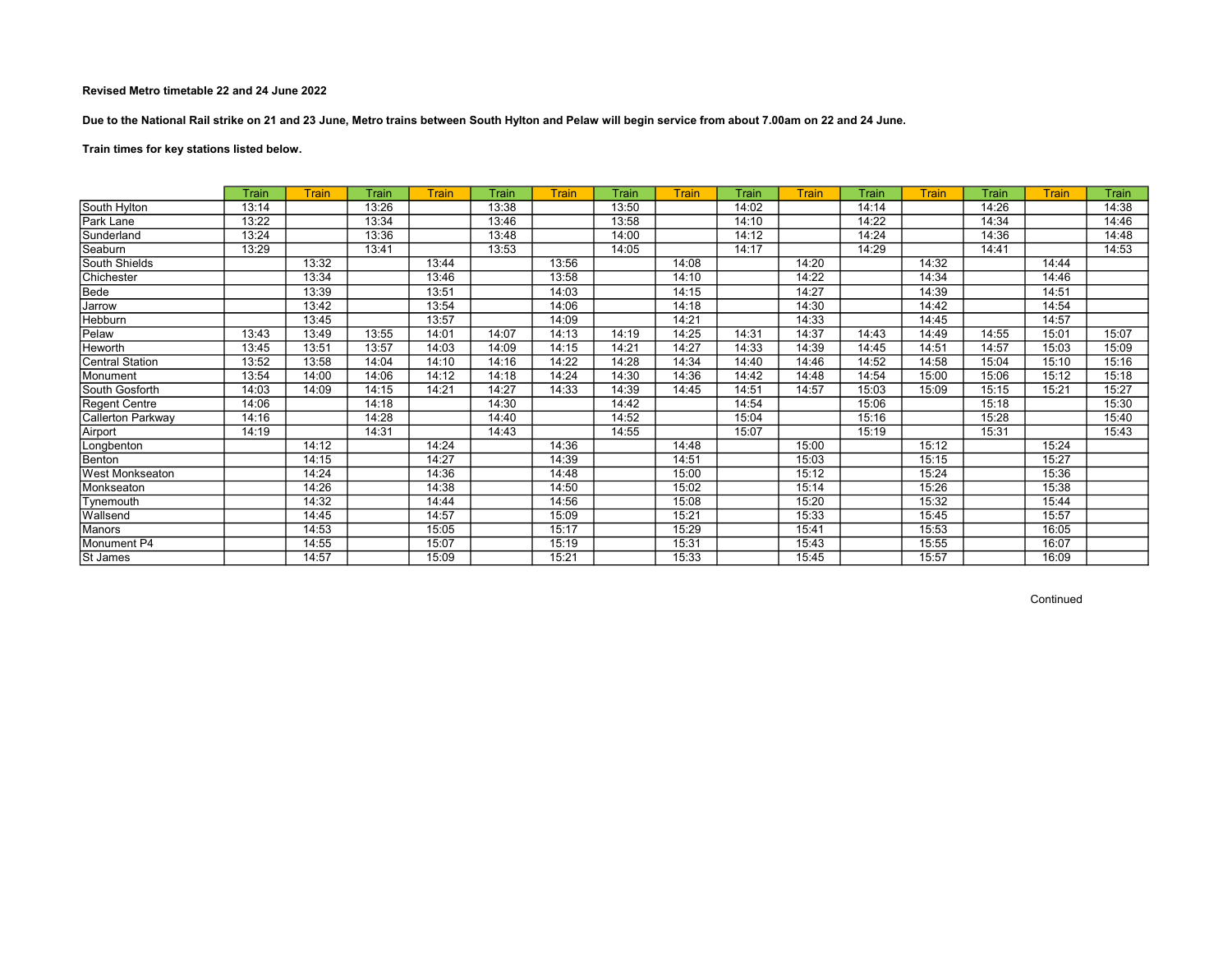Due to the National Rail strike on 21 and 23 June, Metro trains between South Hylton and Pelaw will begin service from about 7.00am on 22 and 24 June.

# Train times for key stations listed below.

|                          | Train | <b>Train</b> | Train | <b>Train</b> | Train | <b>Train</b> | Train | Train | Train | Train | Train | <b>Train</b> | Train | Train | Train |
|--------------------------|-------|--------------|-------|--------------|-------|--------------|-------|-------|-------|-------|-------|--------------|-------|-------|-------|
| South Hylton             | 13:14 |              | 13:26 |              | 13:38 |              | 13:50 |       | 14:02 |       | 14:14 |              | 14:26 |       | 14:38 |
| Park Lane                | 13:22 |              | 13:34 |              | 13:46 |              | 13:58 |       | 14:10 |       | 14:22 |              | 14:34 |       | 14:46 |
| Sunderland               | 13:24 |              | 13:36 |              | 13:48 |              | 14:00 |       | 14:12 |       | 14:24 |              | 14:36 |       | 14:48 |
| Seaburn                  | 13:29 |              | 13:41 |              | 13:53 |              | 14:05 |       | 14:17 |       | 14:29 |              | 14:41 |       | 14:53 |
| South Shields            |       | 13:32        |       | 13:44        |       | 13:56        |       | 14:08 |       | 14:20 |       | 14:32        |       | 14:44 |       |
| Chichester               |       | 13:34        |       | 13:46        |       | 13:58        |       | 14:10 |       | 14:22 |       | 14:34        |       | 14:46 |       |
| Bede                     |       | 13:39        |       | 13:51        |       | 14:03        |       | 14:15 |       | 14:27 |       | 14:39        |       | 14:51 |       |
| Jarrow                   |       | 13:42        |       | 13:54        |       | 14:06        |       | 14:18 |       | 14:30 |       | 14:42        |       | 14:54 |       |
| Hebburn                  |       | 13:45        |       | 13:57        |       | 14:09        |       | 14:21 |       | 14:33 |       | 14:45        |       | 14:57 |       |
| Pelaw                    | 13:43 | 13:49        | 13:55 | 14:01        | 14:07 | 14:13        | 14:19 | 14:25 | 14:31 | 14:37 | 14:43 | 14:49        | 14:55 | 15:01 | 15:07 |
| Heworth                  | 13:45 | 13:51        | 13:57 | 14:03        | 14:09 | 14:15        | 14:21 | 14:27 | 14:33 | 14:39 | 14:45 | 14:51        | 14:57 | 15:03 | 15:09 |
| <b>Central Station</b>   | 13:52 | 13:58        | 14:04 | 14:10        | 14:16 | 14:22        | 14:28 | 14:34 | 14:40 | 14:46 | 14:52 | 14:58        | 15:04 | 15:10 | 15:16 |
| Monument                 | 13:54 | 14:00        | 14:06 | 14:12        | 14:18 | 14:24        | 14:30 | 14:36 | 14:42 | 14:48 | 14:54 | 15:00        | 15:06 | 15:12 | 15:18 |
| South Gosforth           | 14:03 | 14:09        | 14:15 | 14:21        | 14:27 | 14:33        | 14:39 | 14:45 | 14:51 | 14:57 | 15:03 | 15:09        | 15:15 | 15:21 | 15:27 |
| Regent Centre            | 14:06 |              | 14:18 |              | 14:30 |              | 14:42 |       | 14:54 |       | 15:06 |              | 15:18 |       | 15:30 |
| <b>Callerton Parkway</b> | 14:16 |              | 14:28 |              | 14:40 |              | 14:52 |       | 15:04 |       | 15:16 |              | 15:28 |       | 15:40 |
| Airport                  | 14:19 |              | 14:31 |              | 14:43 |              | 14:55 |       | 15:07 |       | 15:19 |              | 15:31 |       | 15:43 |
| Longbenton               |       | 14:12        |       | 14:24        |       | 14:36        |       | 14:48 |       | 15:00 |       | 15:12        |       | 15:24 |       |
| Benton                   |       | 14:15        |       | 14:27        |       | 14:39        |       | 14:51 |       | 15:03 |       | 15:15        |       | 15:27 |       |
| West Monkseaton          |       | 14:24        |       | 14:36        |       | 14:48        |       | 15:00 |       | 15:12 |       | 15:24        |       | 15:36 |       |
| Monkseaton               |       | 14:26        |       | 14:38        |       | 14:50        |       | 15:02 |       | 15:14 |       | 15:26        |       | 15:38 |       |
| Tynemouth                |       | 14:32        |       | 14:44        |       | 14:56        |       | 15:08 |       | 15:20 |       | 15:32        |       | 15:44 |       |
| Wallsend                 |       | 14:45        |       | 14:57        |       | 15:09        |       | 15:21 |       | 15:33 |       | 15:45        |       | 15:57 |       |
| Manors                   |       | 14:53        |       | 15:05        |       | 15:17        |       | 15:29 |       | 15:41 |       | 15:53        |       | 16:05 |       |
| Monument P4              |       | 14:55        |       | 15:07        |       | 15:19        |       | 15:31 |       | 15:43 |       | 15:55        |       | 16:07 |       |
| St James                 |       | 14:57        |       | 15:09        |       | 15:21        |       | 15:33 |       | 15:45 |       | 15:57        |       | 16:09 |       |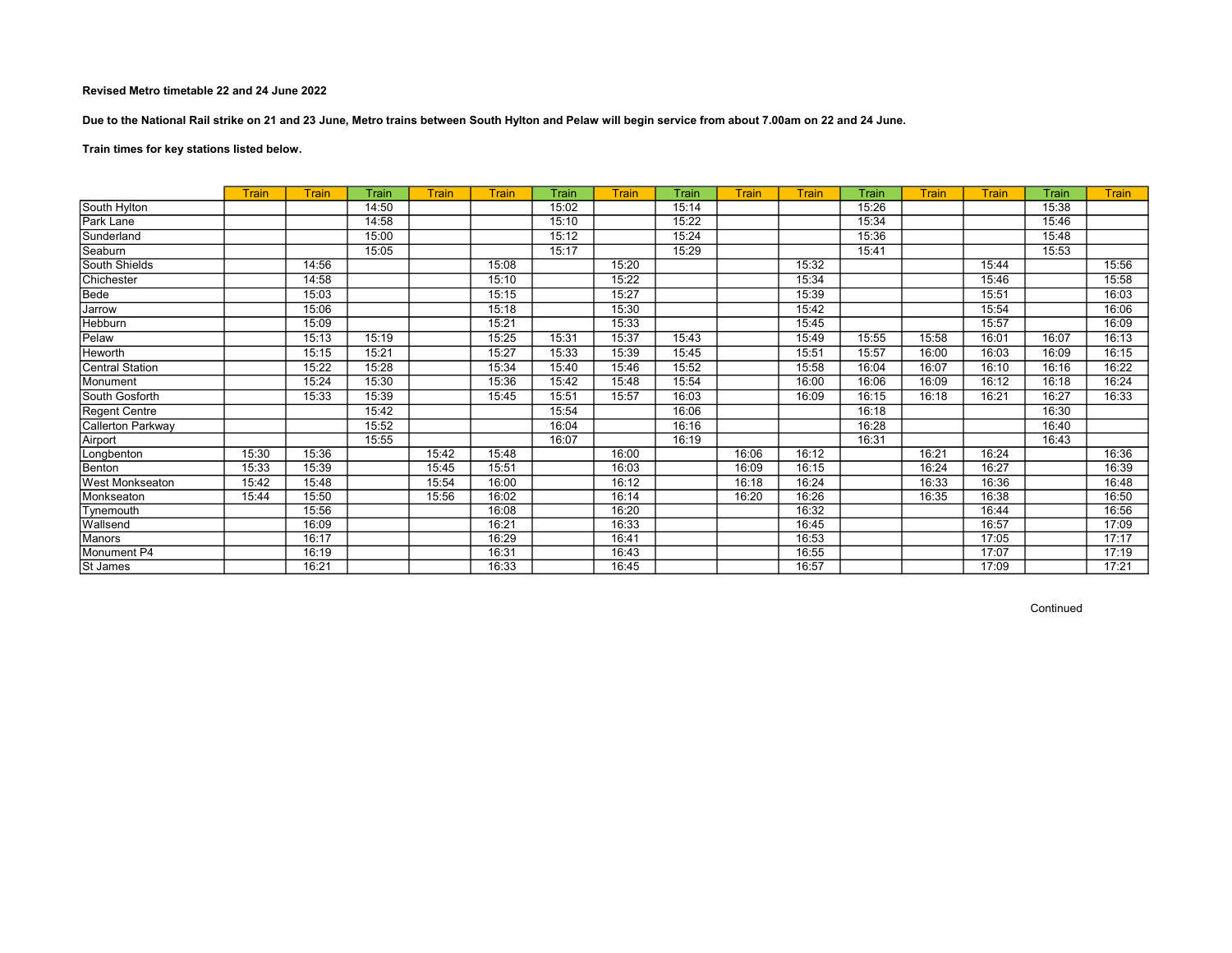Due to the National Rail strike on 21 and 23 June, Metro trains between South Hylton and Pelaw will begin service from about 7.00am on 22 and 24 June.

# Train times for key stations listed below.

|                          | <b>Train</b> | <b>Train</b> | Train | <b>Train</b> | <b>Train</b> | Train | Train | Train | <b>Train</b> | Train | Train | Train | Train | Train | <b>Train</b> |
|--------------------------|--------------|--------------|-------|--------------|--------------|-------|-------|-------|--------------|-------|-------|-------|-------|-------|--------------|
| South Hylton             |              |              | 14:50 |              |              | 15:02 |       | 15:14 |              |       | 15:26 |       |       | 15:38 |              |
| Park Lane                |              |              | 14:58 |              |              | 15:10 |       | 15:22 |              |       | 15:34 |       |       | 15:46 |              |
| Sunderland               |              |              | 15:00 |              |              | 15:12 |       | 15:24 |              |       | 15:36 |       |       | 15:48 |              |
| Seaburn                  |              |              | 15:05 |              |              | 15:17 |       | 15:29 |              |       | 15:41 |       |       | 15:53 |              |
| South Shields            |              | 14:56        |       |              | 15:08        |       | 15:20 |       |              | 15:32 |       |       | 15:44 |       | 15:56        |
| Chichester               |              | 14:58        |       |              | 15:10        |       | 15:22 |       |              | 15:34 |       |       | 15:46 |       | 15:58        |
| Bede                     |              | 15:03        |       |              | 15:15        |       | 15:27 |       |              | 15:39 |       |       | 15:51 |       | 16:03        |
| Jarrow                   |              | 15:06        |       |              | 15:18        |       | 15:30 |       |              | 15:42 |       |       | 15:54 |       | 16:06        |
| Hebburn                  |              | 15:09        |       |              | 15:21        |       | 15:33 |       |              | 15:45 |       |       | 15:57 |       | 16:09        |
| Pelaw                    |              | 15:13        | 15:19 |              | 15:25        | 15:31 | 15:37 | 15:43 |              | 15:49 | 15:55 | 15:58 | 16:01 | 16:07 | 16:13        |
| Heworth                  |              | 15:15        | 15:21 |              | 15:27        | 15:33 | 15:39 | 15:45 |              | 15:51 | 15:57 | 16:00 | 16:03 | 16:09 | 16:15        |
| <b>Central Station</b>   |              | 15:22        | 15:28 |              | 15:34        | 15:40 | 15:46 | 15:52 |              | 15:58 | 16:04 | 16:07 | 16:10 | 16:16 | 16:22        |
| Monument                 |              | 15:24        | 15:30 |              | 15:36        | 15:42 | 15:48 | 15:54 |              | 16:00 | 16:06 | 16:09 | 16:12 | 16:18 | 16:24        |
| South Gosforth           |              | 15:33        | 15:39 |              | 15:45        | 15:51 | 15:57 | 16:03 |              | 16:09 | 16:15 | 16:18 | 16:21 | 16:27 | 16:33        |
| <b>Regent Centre</b>     |              |              | 15:42 |              |              | 15:54 |       | 16:06 |              |       | 16:18 |       |       | 16:30 |              |
| <b>Callerton Parkway</b> |              |              | 15:52 |              |              | 16:04 |       | 16:16 |              |       | 16:28 |       |       | 16:40 |              |
| Airport                  |              |              | 15:55 |              |              | 16:07 |       | 16:19 |              |       | 16:31 |       |       | 16:43 |              |
| Longbenton               | 15:30        | 15:36        |       | 15:42        | 15:48        |       | 16:00 |       | 16:06        | 16:12 |       | 16:21 | 16:24 |       | 16:36        |
| Benton                   | 15:33        | 15:39        |       | 15:45        | 15:51        |       | 16:03 |       | 16:09        | 16:15 |       | 16:24 | 16:27 |       | 16:39        |
| West Monkseaton          | 15:42        | 15:48        |       | 15:54        | 16:00        |       | 16:12 |       | 16:18        | 16:24 |       | 16:33 | 16:36 |       | 16:48        |
| Monkseaton               | 15:44        | 15:50        |       | 15:56        | 16:02        |       | 16:14 |       | 16:20        | 16:26 |       | 16:35 | 16:38 |       | 16:50        |
| Tynemouth                |              | 15:56        |       |              | 16:08        |       | 16:20 |       |              | 16:32 |       |       | 16:44 |       | 16:56        |
| Wallsend                 |              | 16:09        |       |              | 16:21        |       | 16:33 |       |              | 16:45 |       |       | 16:57 |       | 17:09        |
| <b>Manors</b>            |              | 16:17        |       |              | 16:29        |       | 16:41 |       |              | 16:53 |       |       | 17:05 |       | 17:17        |
| Monument P4              |              | 16:19        |       |              | 16:31        |       | 16:43 |       |              | 16:55 |       |       | 17:07 |       | 17:19        |
| St James                 |              | 16:21        |       |              | 16:33        |       | 16:45 |       |              | 16:57 |       |       | 17:09 |       | 17:21        |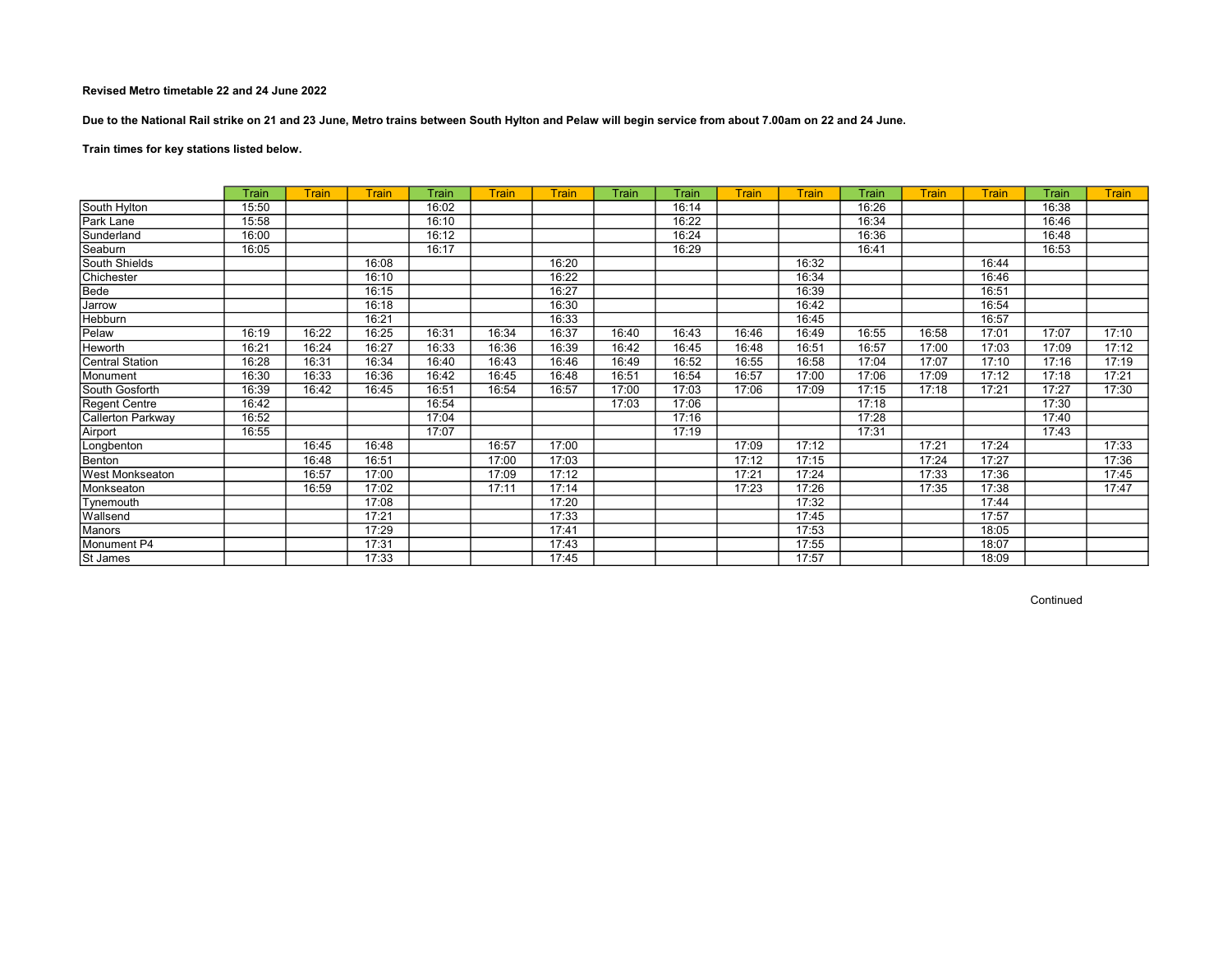Due to the National Rail strike on 21 and 23 June, Metro trains between South Hylton and Pelaw will begin service from about 7.00am on 22 and 24 June.

Train times for key stations listed below.

|                        | Train | Train | Train | Train | <b>Train</b> | <b>Train</b> | Train | Train | Train | Train | Train | Train | Train | Train | <b>Train</b> |
|------------------------|-------|-------|-------|-------|--------------|--------------|-------|-------|-------|-------|-------|-------|-------|-------|--------------|
| South Hylton           | 15:50 |       |       | 16:02 |              |              |       | 16:14 |       |       | 16:26 |       |       | 16:38 |              |
| Park Lane              | 15:58 |       |       | 16:10 |              |              |       | 16:22 |       |       | 16:34 |       |       | 16:46 |              |
| Sunderland             | 16:00 |       |       | 16:12 |              |              |       | 16:24 |       |       | 16:36 |       |       | 16:48 |              |
| Seaburn                | 16:05 |       |       | 16:17 |              |              |       | 16:29 |       |       | 16:41 |       |       | 16:53 |              |
| South Shields          |       |       | 16:08 |       |              | 16:20        |       |       |       | 16:32 |       |       | 16:44 |       |              |
| Chichester             |       |       | 16:10 |       |              | 16:22        |       |       |       | 16:34 |       |       | 16:46 |       |              |
| Bede                   |       |       | 16:15 |       |              | 16:27        |       |       |       | 16:39 |       |       | 16:51 |       |              |
| Jarrow                 |       |       | 16:18 |       |              | 16:30        |       |       |       | 16:42 |       |       | 16:54 |       |              |
| Hebburn                |       |       | 16:21 |       |              | 16:33        |       |       |       | 16:45 |       |       | 16:57 |       |              |
| Pelaw                  | 16:19 | 16:22 | 16:25 | 16:31 | 16:34        | 16:37        | 16:40 | 16:43 | 16:46 | 16:49 | 16:55 | 16:58 | 17:01 | 17:07 | 17:10        |
| Heworth                | 16:21 | 16:24 | 16:27 | 16:33 | 16:36        | 16:39        | 16:42 | 16:45 | 16:48 | 16:51 | 16:57 | 17:00 | 17:03 | 17:09 | 17:12        |
| Central Station        | 16:28 | 16:31 | 16:34 | 16:40 | 16:43        | 16:46        | 16:49 | 16:52 | 16:55 | 16:58 | 17:04 | 17:07 | 17:10 | 17:16 | 17:19        |
| Monument               | 16:30 | 16:33 | 16:36 | 16:42 | 16:45        | 16:48        | 16:51 | 16:54 | 16:57 | 17:00 | 17:06 | 17:09 | 17:12 | 17:18 | 17:21        |
| South Gosforth         | 16:39 | 16:42 | 16:45 | 16:51 | 16:54        | 16:57        | 17:00 | 17:03 | 17:06 | 17:09 | 17:15 | 17:18 | 17:21 | 17:27 | 17:30        |
| Regent Centre          | 16:42 |       |       | 16:54 |              |              | 17:03 | 17:06 |       |       | 17:18 |       |       | 17:30 |              |
| Callerton Parkway      | 16:52 |       |       | 17:04 |              |              |       | 17:16 |       |       | 17:28 |       |       | 17:40 |              |
| Airport                | 16:55 |       |       | 17:07 |              |              |       | 17:19 |       |       | 17:31 |       |       | 17:43 |              |
| Longbenton             |       | 16:45 | 16:48 |       | 16:57        | 17:00        |       |       | 17:09 | 17:12 |       | 17:21 | 17:24 |       | 17:33        |
| Benton                 |       | 16:48 | 16:51 |       | 17:00        | 17:03        |       |       | 17:12 | 17:15 |       | 17:24 | 17:27 |       | 17:36        |
| <b>West Monkseaton</b> |       | 16:57 | 17:00 |       | 17:09        | 17:12        |       |       | 17:21 | 17:24 |       | 17:33 | 17:36 |       | 17:45        |
| Monkseaton             |       | 16:59 | 17:02 |       | 17:11        | 17:14        |       |       | 17:23 | 17:26 |       | 17:35 | 17:38 |       | 17:47        |
| Tynemouth              |       |       | 17:08 |       |              | 17:20        |       |       |       | 17:32 |       |       | 17:44 |       |              |
| Wallsend               |       |       | 17:21 |       |              | 17:33        |       |       |       | 17:45 |       |       | 17:57 |       |              |
| Manors                 |       |       | 17:29 |       |              | 17:41        |       |       |       | 17:53 |       |       | 18:05 |       |              |
| Monument P4            |       |       | 17:31 |       |              | 17:43        |       |       |       | 17:55 |       |       | 18:07 |       |              |
| St James               |       |       | 17:33 |       |              | 17:45        |       |       |       | 17:57 |       |       | 18:09 |       |              |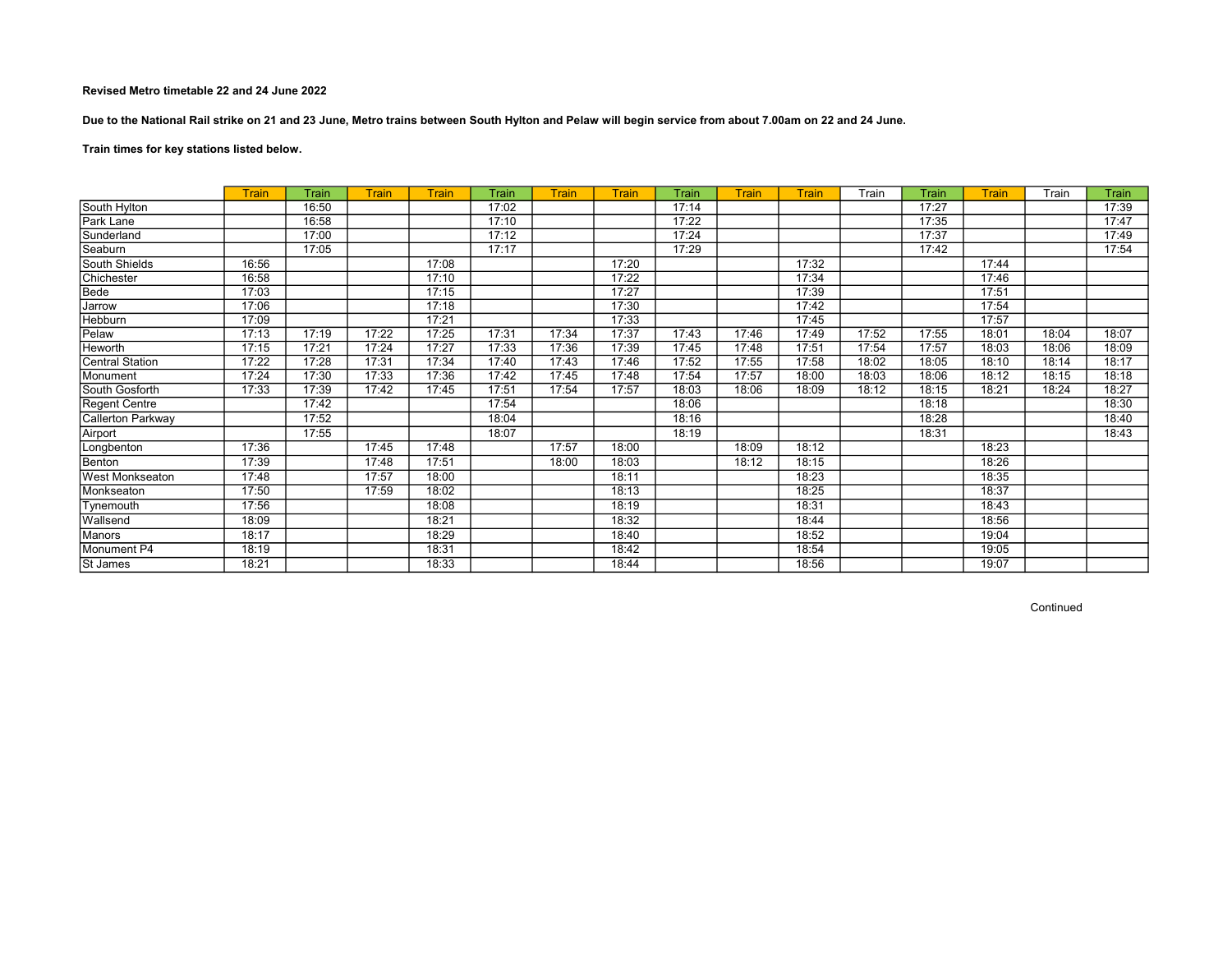Due to the National Rail strike on 21 and 23 June, Metro trains between South Hylton and Pelaw will begin service from about 7.00am on 22 and 24 June.

# Train times for key stations listed below.

|                        | <b>Train</b> | Train | <b>Train</b> | <b>Train</b> | Train | <b>Train</b> | <b>Train</b> | Train | <b>Train</b> | Train | Train | Train | Train | Train | Train |
|------------------------|--------------|-------|--------------|--------------|-------|--------------|--------------|-------|--------------|-------|-------|-------|-------|-------|-------|
| South Hylton           |              | 16:50 |              |              | 17:02 |              |              | 17:14 |              |       |       | 17:27 |       |       | 17:39 |
| Park Lane              |              | 16:58 |              |              | 17:10 |              |              | 17:22 |              |       |       | 17:35 |       |       | 17:47 |
| Sunderland             |              | 17:00 |              |              | 17:12 |              |              | 17:24 |              |       |       | 17:37 |       |       | 17:49 |
| Seaburn                |              | 17:05 |              |              | 17:17 |              |              | 17:29 |              |       |       | 17:42 |       |       | 17:54 |
| South Shields          | 16:56        |       |              | 17:08        |       |              | 17:20        |       |              | 17:32 |       |       | 17:44 |       |       |
| Chichester             | 16:58        |       |              | 17:10        |       |              | 17:22        |       |              | 17:34 |       |       | 17:46 |       |       |
| Bede                   | 17:03        |       |              | 17:15        |       |              | 17:27        |       |              | 17:39 |       |       | 17:51 |       |       |
| Jarrow                 | 17:06        |       |              | 17:18        |       |              | 17:30        |       |              | 17:42 |       |       | 17:54 |       |       |
| Hebburn                | 17:09        |       |              | 17:21        |       |              | 17:33        |       |              | 17:45 |       |       | 17:57 |       |       |
| Pelaw                  | 17:13        | 17:19 | 17:22        | 17:25        | 17:31 | 17:34        | 17:37        | 17:43 | 17:46        | 17:49 | 17:52 | 17:55 | 18:01 | 18:04 | 18:07 |
| Heworth                | 17:15        | 17:21 | 17:24        | 17:27        | 17:33 | 17:36        | 17:39        | 17:45 | 17:48        | 17:51 | 17:54 | 17:57 | 18:03 | 18:06 | 18:09 |
| <b>Central Station</b> | 17:22        | 17:28 | 17:31        | 17:34        | 17:40 | 17:43        | 17:46        | 17:52 | 17:55        | 17:58 | 18:02 | 18:05 | 18:10 | 18:14 | 18:17 |
| Monument               | 17:24        | 17:30 | 17:33        | 17:36        | 17:42 | 17:45        | 17:48        | 17:54 | 17:57        | 18:00 | 18:03 | 18:06 | 18:12 | 18:15 | 18:18 |
| South Gosforth         | 17:33        | 17:39 | 17:42        | 17:45        | 17:51 | 17:54        | 17:57        | 18:03 | 18:06        | 18:09 | 18:12 | 18:15 | 18:21 | 18:24 | 18:27 |
| <b>Regent Centre</b>   |              | 17:42 |              |              | 17:54 |              |              | 18:06 |              |       |       | 18:18 |       |       | 18:30 |
| Callerton Parkway      |              | 17:52 |              |              | 18:04 |              |              | 18:16 |              |       |       | 18:28 |       |       | 18:40 |
| Airport                |              | 17:55 |              |              | 18:07 |              |              | 18:19 |              |       |       | 18:31 |       |       | 18:43 |
| Longbenton             | 17:36        |       | 17:45        | 17:48        |       | 17:57        | 18:00        |       | 18:09        | 18:12 |       |       | 18:23 |       |       |
| Benton                 | 17:39        |       | 17:48        | 17:51        |       | 18:00        | 18:03        |       | 18:12        | 18:15 |       |       | 18:26 |       |       |
| <b>West Monkseaton</b> | 17:48        |       | 17:57        | 18:00        |       |              | 18:11        |       |              | 18:23 |       |       | 18:35 |       |       |
| Monkseaton             | 17:50        |       | 17:59        | 18:02        |       |              | 18:13        |       |              | 18:25 |       |       | 18:37 |       |       |
| Tynemouth              | 17:56        |       |              | 18:08        |       |              | 18:19        |       |              | 18:31 |       |       | 18:43 |       |       |
| Wallsend               | 18:09        |       |              | 18:21        |       |              | 18:32        |       |              | 18:44 |       |       | 18:56 |       |       |
| Manors                 | 18:17        |       |              | 18:29        |       |              | 18:40        |       |              | 18:52 |       |       | 19:04 |       |       |
| Monument P4            | 18:19        |       |              | 18:31        |       |              | 18:42        |       |              | 18:54 |       |       | 19:05 |       |       |
| St James               | 18:21        |       |              | 18:33        |       |              | 18:44        |       |              | 18:56 |       |       | 19:07 |       |       |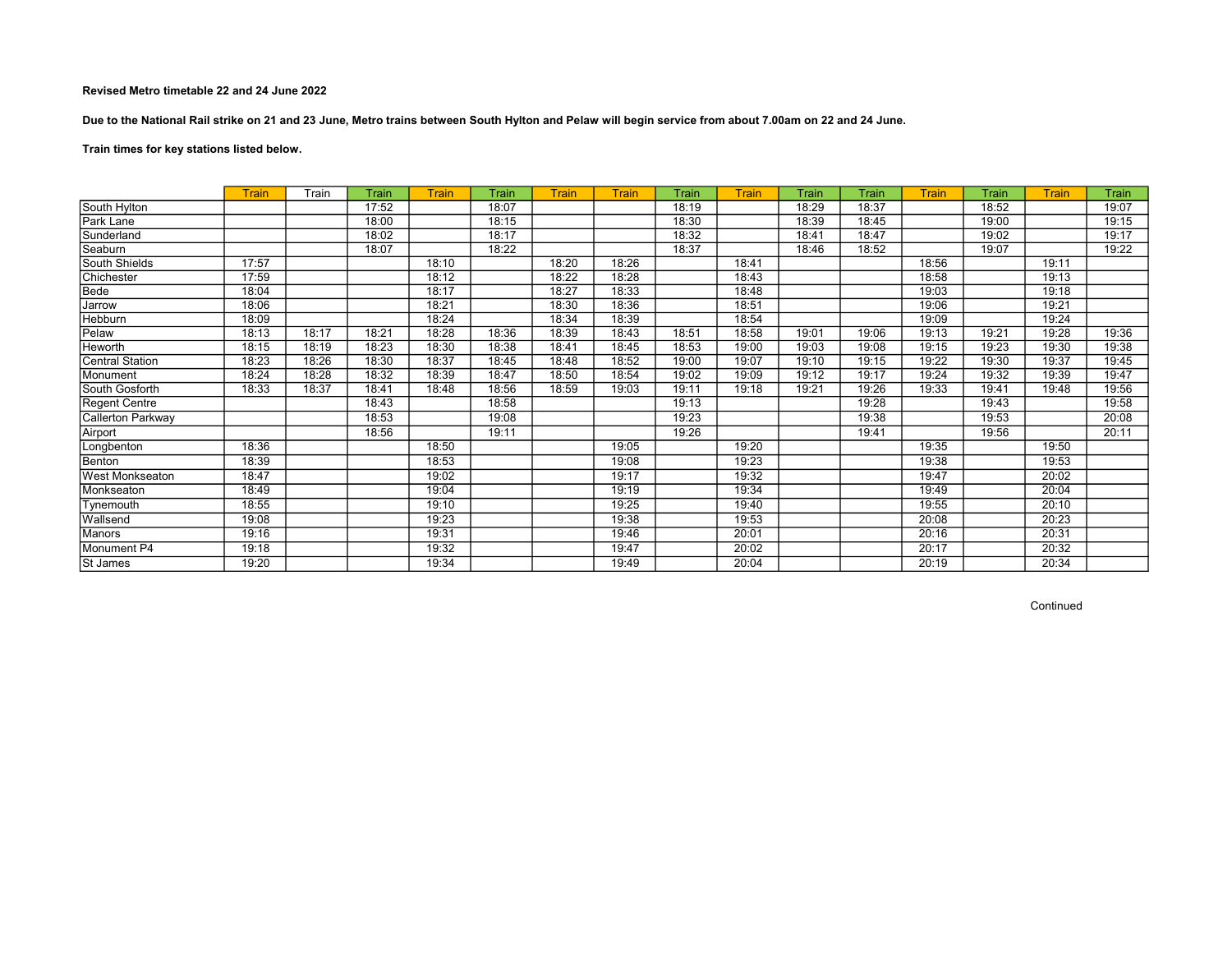Due to the National Rail strike on 21 and 23 June, Metro trains between South Hylton and Pelaw will begin service from about 7.00am on 22 and 24 June.

# Train times for key stations listed below.

|                          | <b>Train</b> | Train | Train | <b>Train</b> | Train | <b>Train</b> | <b>Train</b> | Train | Train | Train | Train | <b>Train</b> | Train | <b>Train</b> | Train |
|--------------------------|--------------|-------|-------|--------------|-------|--------------|--------------|-------|-------|-------|-------|--------------|-------|--------------|-------|
| South Hylton             |              |       | 17:52 |              | 18:07 |              |              | 18:19 |       | 18:29 | 18:37 |              | 18:52 |              | 19:07 |
| Park Lane                |              |       | 18:00 |              | 18:15 |              |              | 18:30 |       | 18:39 | 18:45 |              | 19:00 |              | 19:15 |
| Sunderland               |              |       | 18:02 |              | 18:17 |              |              | 18:32 |       | 18:41 | 18:47 |              | 19:02 |              | 19:17 |
| Seaburn                  |              |       | 18:07 |              | 18:22 |              |              | 18:37 |       | 18:46 | 18:52 |              | 19:07 |              | 19:22 |
| South Shields            | 17:57        |       |       | 18:10        |       | 18:20        | 18:26        |       | 18:41 |       |       | 18:56        |       | 19:11        |       |
| Chichester               | 17:59        |       |       | 18:12        |       | 18:22        | 18:28        |       | 18:43 |       |       | 18:58        |       | 19:13        |       |
| Bede                     | 18:04        |       |       | 18:17        |       | 18:27        | 18:33        |       | 18:48 |       |       | 19:03        |       | 19:18        |       |
| Jarrow                   | 18:06        |       |       | 18:21        |       | 18:30        | 18:36        |       | 18:51 |       |       | 19:06        |       | 19:21        |       |
| Hebburn                  | 18:09        |       |       | 18:24        |       | 18:34        | 18:39        |       | 18:54 |       |       | 19:09        |       | 19:24        |       |
| Pelaw                    | 18:13        | 18:17 | 18:21 | 18:28        | 18:36 | 18:39        | 18:43        | 18:51 | 18:58 | 19:01 | 19:06 | 19:13        | 19:21 | 19:28        | 19:36 |
| Heworth                  | 18:15        | 18:19 | 18:23 | 18:30        | 18:38 | 18:41        | 18:45        | 18:53 | 19:00 | 19:03 | 19:08 | 19:15        | 19:23 | 19:30        | 19:38 |
| <b>Central Station</b>   | 18:23        | 18:26 | 18:30 | 18:37        | 18:45 | 18:48        | 18:52        | 19:00 | 19:07 | 19:10 | 19:15 | 19:22        | 19:30 | 19:37        | 19:45 |
| Monument                 | 18:24        | 18:28 | 18:32 | 18:39        | 18:47 | 18:50        | 18:54        | 19:02 | 19:09 | 19:12 | 19:17 | 19:24        | 19:32 | 19:39        | 19:47 |
| South Gosforth           | 18:33        | 18:37 | 18:41 | 18:48        | 18:56 | 18:59        | 19:03        | 19:11 | 19:18 | 19:21 | 19:26 | 19:33        | 19:41 | 19:48        | 19:56 |
| <b>Regent Centre</b>     |              |       | 18:43 |              | 18:58 |              |              | 19:13 |       |       | 19:28 |              | 19:43 |              | 19:58 |
| <b>Callerton Parkway</b> |              |       | 18:53 |              | 19:08 |              |              | 19:23 |       |       | 19:38 |              | 19:53 |              | 20:08 |
| Airport                  |              |       | 18:56 |              | 19:11 |              |              | 19:26 |       |       | 19:41 |              | 19:56 |              | 20:11 |
| Longbenton               | 18:36        |       |       | 18:50        |       |              | 19:05        |       | 19:20 |       |       | 19:35        |       | 19:50        |       |
| Benton                   | 18:39        |       |       | 18:53        |       |              | 19:08        |       | 19:23 |       |       | 19:38        |       | 19:53        |       |
| <b>West Monkseaton</b>   | 18:47        |       |       | 19:02        |       |              | 19:17        |       | 19:32 |       |       | 19:47        |       | 20:02        |       |
| Monkseaton               | 18:49        |       |       | 19:04        |       |              | 19:19        |       | 19:34 |       |       | 19:49        |       | 20:04        |       |
| Tynemouth                | 18:55        |       |       | 19:10        |       |              | 19:25        |       | 19:40 |       |       | 19:55        |       | 20:10        |       |
| Wallsend                 | 19:08        |       |       | 19:23        |       |              | 19:38        |       | 19:53 |       |       | 20:08        |       | 20:23        |       |
| Manors                   | 19:16        |       |       | 19:31        |       |              | 19:46        |       | 20:01 |       |       | 20:16        |       | 20:31        |       |
| Monument <sub>P4</sub>   | 19:18        |       |       | 19:32        |       |              | 19:47        |       | 20:02 |       |       | 20:17        |       | 20:32        |       |
| St James                 | 19:20        |       |       | 19:34        |       |              | 19:49        |       | 20:04 |       |       | 20:19        |       | 20:34        |       |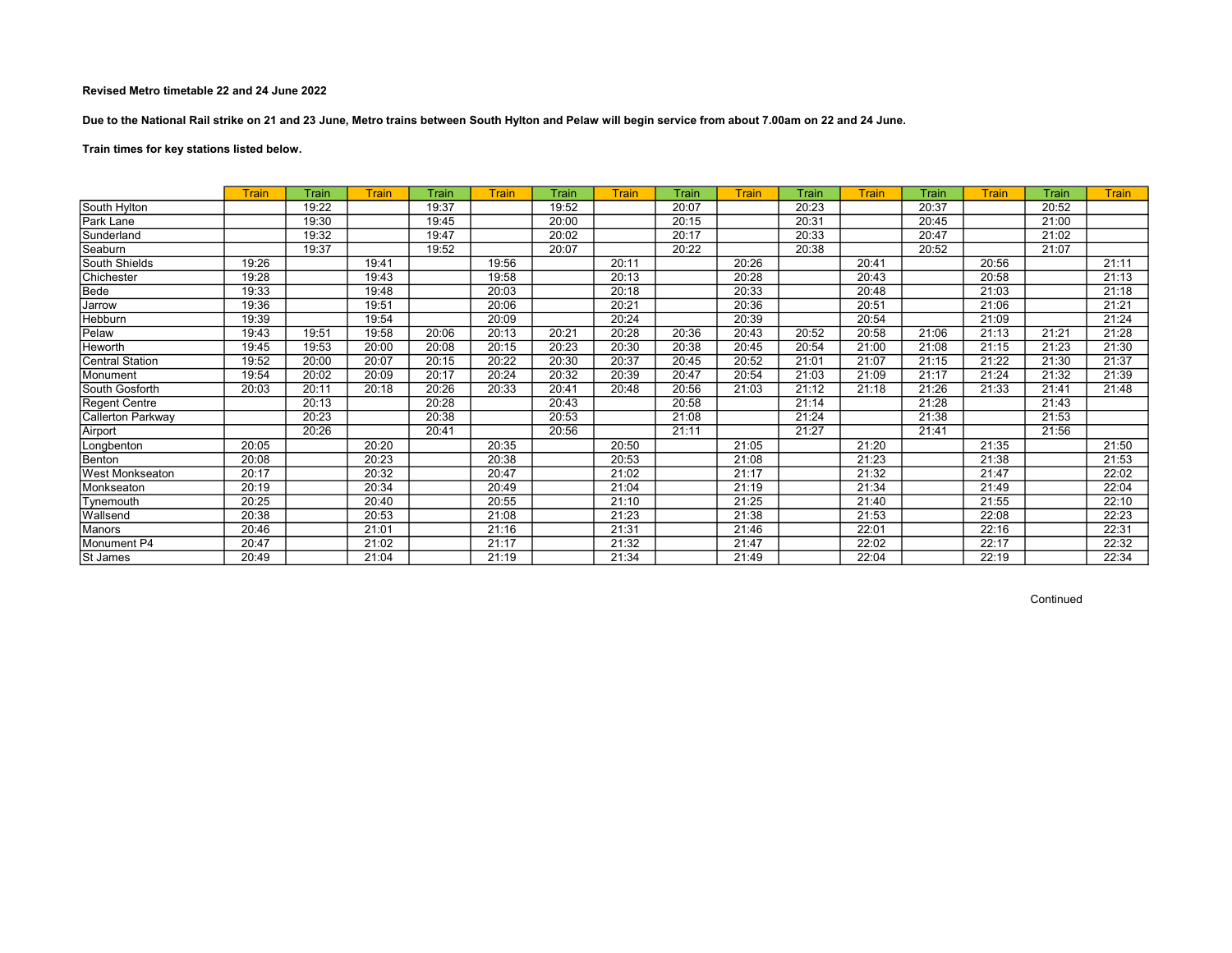Due to the National Rail strike on 21 and 23 June, Metro trains between South Hylton and Pelaw will begin service from about 7.00am on 22 and 24 June.

Train times for key stations listed below.

|                          | Train | Train | Train | Train | <b>Train</b> | Train | Train | Train | <b>Train</b> | Train | <b>Train</b> | Train | Train | Train | <b>Train</b> |
|--------------------------|-------|-------|-------|-------|--------------|-------|-------|-------|--------------|-------|--------------|-------|-------|-------|--------------|
| South Hylton             |       | 19:22 |       | 19:37 |              | 19:52 |       | 20:07 |              | 20:23 |              | 20:37 |       | 20:52 |              |
| Park Lane                |       | 19:30 |       | 19:45 |              | 20:00 |       | 20:15 |              | 20:31 |              | 20:45 |       | 21:00 |              |
| Sunderland               |       | 19:32 |       | 19:47 |              | 20:02 |       | 20:17 |              | 20:33 |              | 20:47 |       | 21:02 |              |
| Seaburn                  |       | 19:37 |       | 19:52 |              | 20:07 |       | 20:22 |              | 20:38 |              | 20:52 |       | 21:07 |              |
| South Shields            | 19:26 |       | 19:41 |       | 19:56        |       | 20:11 |       | 20:26        |       | 20:41        |       | 20:56 |       | 21:11        |
| Chichester               | 19:28 |       | 19:43 |       | 19:58        |       | 20:13 |       | 20:28        |       | 20:43        |       | 20:58 |       | 21:13        |
| Bede                     | 19:33 |       | 19:48 |       | 20:03        |       | 20:18 |       | 20:33        |       | 20:48        |       | 21:03 |       | 21:18        |
| Jarrow                   | 19:36 |       | 19:51 |       | 20:06        |       | 20:21 |       | 20:36        |       | 20:51        |       | 21:06 |       | 21:21        |
| <b>Hebburn</b>           | 19:39 |       | 19:54 |       | 20:09        |       | 20:24 |       | 20:39        |       | 20:54        |       | 21:09 |       | 21:24        |
| Pelaw                    | 19:43 | 19:51 | 19:58 | 20:06 | 20:13        | 20:21 | 20:28 | 20:36 | 20:43        | 20:52 | 20:58        | 21:06 | 21:13 | 21:21 | 21:28        |
| <b>Heworth</b>           | 19:45 | 19:53 | 20:00 | 20:08 | 20:15        | 20:23 | 20:30 | 20:38 | 20:45        | 20:54 | 21:00        | 21:08 | 21:15 | 21:23 | 21:30        |
| Central Station          | 19:52 | 20:00 | 20:07 | 20:15 | 20:22        | 20:30 | 20:37 | 20:45 | 20:52        | 21:01 | 21:07        | 21:15 | 21:22 | 21:30 | 21:37        |
| Monument                 | 19:54 | 20:02 | 20:09 | 20:17 | 20:24        | 20:32 | 20:39 | 20:47 | 20:54        | 21:03 | 21:09        | 21:17 | 21:24 | 21:32 | 21:39        |
| South Gosforth           | 20:03 | 20:11 | 20:18 | 20:26 | 20:33        | 20:41 | 20:48 | 20:56 | 21:03        | 21:12 | 21:18        | 21:26 | 21:33 | 21:41 | 21:48        |
| Regent Centre            |       | 20:13 |       | 20:28 |              | 20:43 |       | 20:58 |              | 21:14 |              | 21:28 |       | 21:43 |              |
| <b>Callerton Parkway</b> |       | 20:23 |       | 20:38 |              | 20:53 |       | 21:08 |              | 21:24 |              | 21:38 |       | 21:53 |              |
| Airport                  |       | 20:26 |       | 20:41 |              | 20:56 |       | 21:11 |              | 21:27 |              | 21:41 |       | 21:56 |              |
| Longbenton               | 20:05 |       | 20:20 |       | 20:35        |       | 20:50 |       | 21:05        |       | 21:20        |       | 21:35 |       | 21:50        |
| Benton                   | 20:08 |       | 20:23 |       | 20:38        |       | 20:53 |       | 21:08        |       | 21:23        |       | 21:38 |       | 21:53        |
| <b>West Monkseaton</b>   | 20:17 |       | 20:32 |       | 20:47        |       | 21:02 |       | 21:17        |       | 21:32        |       | 21:47 |       | 22:02        |
| Monkseaton               | 20:19 |       | 20:34 |       | 20:49        |       | 21:04 |       | 21:19        |       | 21:34        |       | 21:49 |       | 22:04        |
| Tynemouth                | 20:25 |       | 20:40 |       | 20:55        |       | 21:10 |       | 21:25        |       | 21:40        |       | 21:55 |       | 22:10        |
| Wallsend                 | 20:38 |       | 20:53 |       | 21:08        |       | 21:23 |       | 21:38        |       | 21:53        |       | 22:08 |       | 22:23        |
| Manors                   | 20:46 |       | 21:01 |       | 21:16        |       | 21:31 |       | 21:46        |       | 22:01        |       | 22:16 |       | 22:31        |
| Monument P4              | 20:47 |       | 21:02 |       | 21:17        |       | 21:32 |       | 21:47        |       | 22:02        |       | 22:17 |       | 22:32        |
| St James                 | 20:49 |       | 21:04 |       | 21:19        |       | 21:34 |       | 21:49        |       | 22:04        |       | 22:19 |       | 22:34        |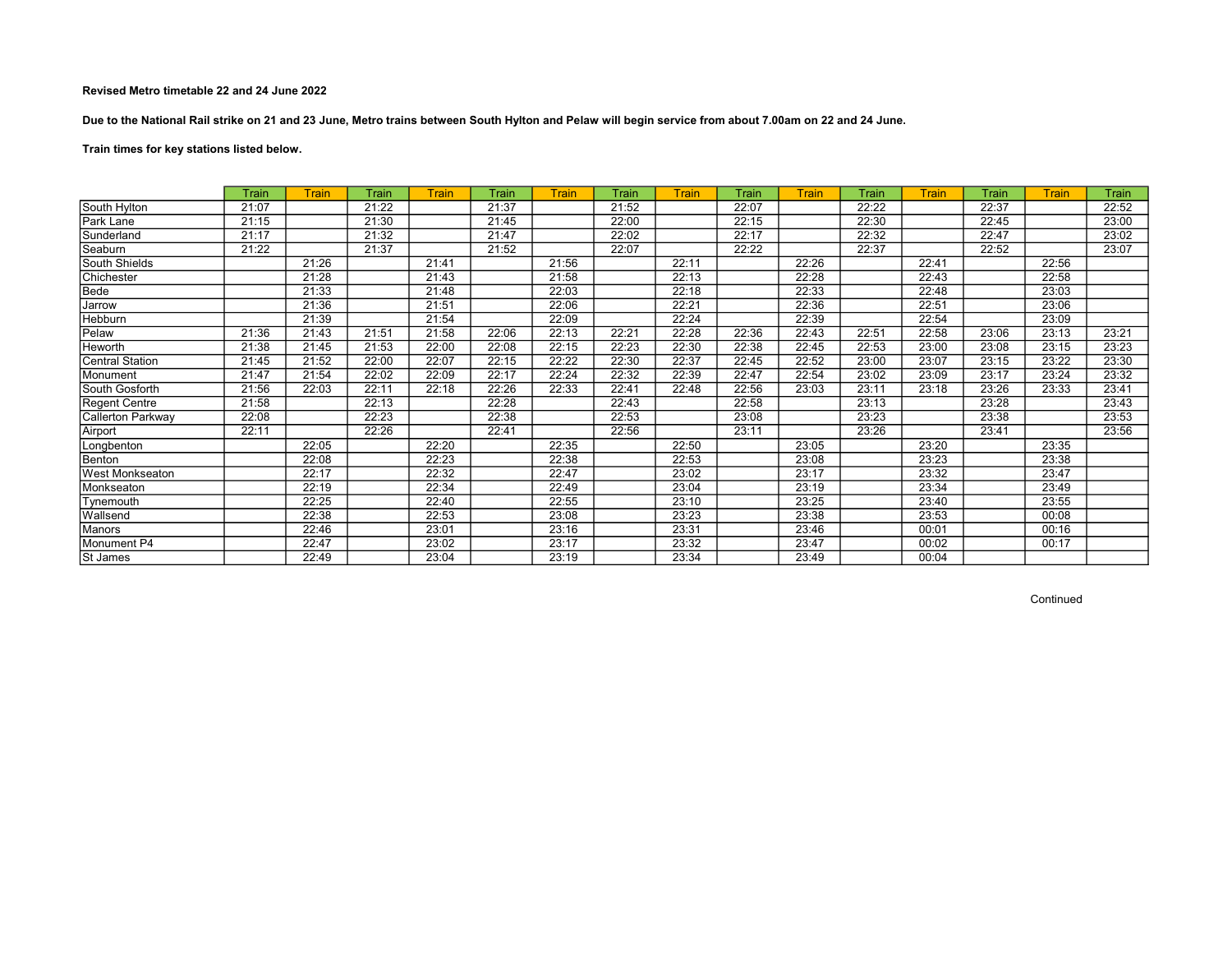Due to the National Rail strike on 21 and 23 June, Metro trains between South Hylton and Pelaw will begin service from about 7.00am on 22 and 24 June.

# Train times for key stations listed below.

|                        | Train | Train | Train | Train | Train | Train | Train | Train | Train | Train | Train | <b>Train</b> | Train | Train | Train |
|------------------------|-------|-------|-------|-------|-------|-------|-------|-------|-------|-------|-------|--------------|-------|-------|-------|
| South Hylton           | 21:07 |       | 21:22 |       | 21:37 |       | 21:52 |       | 22:07 |       | 22:22 |              | 22:37 |       | 22:52 |
| Park Lane              | 21:15 |       | 21:30 |       | 21:45 |       | 22:00 |       | 22:15 |       | 22:30 |              | 22:45 |       | 23:00 |
| Sunderland             | 21:17 |       | 21:32 |       | 21:47 |       | 22:02 |       | 22:17 |       | 22:32 |              | 22:47 |       | 23:02 |
| Seaburn                | 21:22 |       | 21:37 |       | 21:52 |       | 22:07 |       | 22:22 |       | 22:37 |              | 22:52 |       | 23:07 |
| South Shields          |       | 21:26 |       | 21:41 |       | 21:56 |       | 22:11 |       | 22:26 |       | 22:41        |       | 22:56 |       |
| Chichester             |       | 21:28 |       | 21:43 |       | 21:58 |       | 22:13 |       | 22:28 |       | 22:43        |       | 22:58 |       |
| Bede                   |       | 21:33 |       | 21:48 |       | 22:03 |       | 22:18 |       | 22:33 |       | 22:48        |       | 23:03 |       |
| Jarrow                 |       | 21:36 |       | 21:51 |       | 22:06 |       | 22:21 |       | 22:36 |       | 22:51        |       | 23:06 |       |
| Hebburn                |       | 21:39 |       | 21:54 |       | 22:09 |       | 22:24 |       | 22:39 |       | 22:54        |       | 23:09 |       |
| Pelaw                  | 21:36 | 21:43 | 21:51 | 21:58 | 22:06 | 22:13 | 22:21 | 22:28 | 22:36 | 22:43 | 22:51 | 22:58        | 23:06 | 23:13 | 23:21 |
| Heworth                | 21:38 | 21:45 | 21:53 | 22:00 | 22:08 | 22:15 | 22:23 | 22:30 | 22:38 | 22:45 | 22:53 | 23:00        | 23:08 | 23:15 | 23:23 |
| <b>Central Station</b> | 21:45 | 21:52 | 22:00 | 22:07 | 22:15 | 22:22 | 22:30 | 22:37 | 22:45 | 22:52 | 23:00 | 23:07        | 23:15 | 23:22 | 23:30 |
| Monument               | 21:47 | 21:54 | 22:02 | 22:09 | 22:17 | 22:24 | 22:32 | 22:39 | 22:47 | 22:54 | 23:02 | 23:09        | 23:17 | 23:24 | 23:32 |
| South Gosforth         | 21:56 | 22:03 | 22:11 | 22:18 | 22:26 | 22:33 | 22:41 | 22:48 | 22:56 | 23:03 | 23:11 | 23:18        | 23:26 | 23:33 | 23:41 |
| Regent Centre          | 21:58 |       | 22:13 |       | 22:28 |       | 22:43 |       | 22:58 |       | 23:13 |              | 23:28 |       | 23:43 |
| Callerton Parkway      | 22:08 |       | 22:23 |       | 22:38 |       | 22:53 |       | 23:08 |       | 23:23 |              | 23:38 |       | 23:53 |
| Airport                | 22:11 |       | 22:26 |       | 22:41 |       | 22:56 |       | 23:11 |       | 23:26 |              | 23:41 |       | 23:56 |
| Longbenton             |       | 22:05 |       | 22:20 |       | 22:35 |       | 22:50 |       | 23:05 |       | 23:20        |       | 23:35 |       |
| Benton                 |       | 22:08 |       | 22:23 |       | 22:38 |       | 22:53 |       | 23:08 |       | 23:23        |       | 23:38 |       |
| West Monkseaton        |       | 22:17 |       | 22:32 |       | 22:47 |       | 23:02 |       | 23:17 |       | 23:32        |       | 23:47 |       |
| Monkseaton             |       | 22:19 |       | 22:34 |       | 22:49 |       | 23:04 |       | 23:19 |       | 23:34        |       | 23:49 |       |
| Tynemouth              |       | 22:25 |       | 22:40 |       | 22:55 |       | 23:10 |       | 23:25 |       | 23:40        |       | 23:55 |       |
| Wallsend               |       | 22:38 |       | 22:53 |       | 23:08 |       | 23:23 |       | 23:38 |       | 23:53        |       | 00:08 |       |
| Manors                 |       | 22:46 |       | 23:01 |       | 23:16 |       | 23:31 |       | 23:46 |       | 00:01        |       | 00:16 |       |
| Monument P4            |       | 22:47 |       | 23:02 |       | 23:17 |       | 23:32 |       | 23:47 |       | 00:02        |       | 00:17 |       |
| St James               |       | 22:49 |       | 23:04 |       | 23:19 |       | 23:34 |       | 23:49 |       | 00:04        |       |       |       |